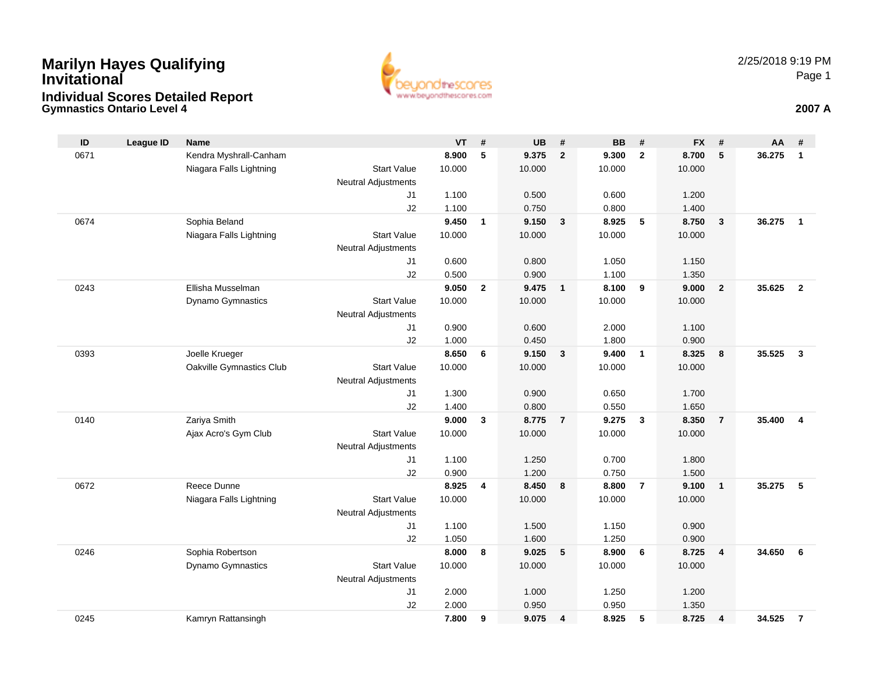## **Gymnastics Ontario Level 4 2007 AMarilyn Hayes Qualifying InvitationalIndividual Scores Detailed Report**



| ID   | <b>League ID</b> | Name                     |                            | VT     | #              | <b>UB</b> | #              | <b>BB</b> | #              | <b>FX</b> | #              | AA     | #                       |
|------|------------------|--------------------------|----------------------------|--------|----------------|-----------|----------------|-----------|----------------|-----------|----------------|--------|-------------------------|
| 0671 |                  | Kendra Myshrall-Canham   |                            | 8.900  | 5              | 9.375     | $\mathbf{2}$   | 9.300     | $\overline{2}$ | 8.700     | 5              | 36.275 | $\mathbf{1}$            |
|      |                  | Niagara Falls Lightning  | <b>Start Value</b>         | 10.000 |                | 10.000    |                | 10.000    |                | 10.000    |                |        |                         |
|      |                  |                          | Neutral Adjustments        |        |                |           |                |           |                |           |                |        |                         |
|      |                  |                          | J1                         | 1.100  |                | 0.500     |                | 0.600     |                | 1.200     |                |        |                         |
|      |                  |                          | J2                         | 1.100  |                | 0.750     |                | 0.800     |                | 1.400     |                |        |                         |
| 0674 |                  | Sophia Beland            |                            | 9.450  | $\mathbf{1}$   | 9.150     | 3              | 8.925     | 5              | 8.750     | $\mathbf{3}$   | 36.275 | $\mathbf{1}$            |
|      |                  | Niagara Falls Lightning  | <b>Start Value</b>         | 10.000 |                | 10.000    |                | 10.000    |                | 10.000    |                |        |                         |
|      |                  |                          | <b>Neutral Adjustments</b> |        |                |           |                |           |                |           |                |        |                         |
|      |                  |                          | J1                         | 0.600  |                | 0.800     |                | 1.050     |                | 1.150     |                |        |                         |
|      |                  |                          | J2                         | 0.500  |                | 0.900     |                | 1.100     |                | 1.350     |                |        |                         |
| 0243 |                  | Ellisha Musselman        |                            | 9.050  | $\overline{2}$ | 9.475     | $\overline{1}$ | 8.100     | 9              | 9.000     | $\overline{2}$ | 35.625 | $\overline{2}$          |
|      |                  | Dynamo Gymnastics        | <b>Start Value</b>         | 10.000 |                | 10.000    |                | 10.000    |                | 10.000    |                |        |                         |
|      |                  |                          | Neutral Adjustments        |        |                |           |                |           |                |           |                |        |                         |
|      |                  |                          | J1                         | 0.900  |                | 0.600     |                | 2.000     |                | 1.100     |                |        |                         |
|      |                  |                          | J2                         | 1.000  |                | 0.450     |                | 1.800     |                | 0.900     |                |        |                         |
| 0393 |                  | Joelle Krueger           |                            | 8.650  | 6              | 9.150     | $\mathbf{3}$   | 9.400     | $\overline{1}$ | 8.325     | 8              | 35.525 | $\overline{\mathbf{3}}$ |
|      |                  | Oakville Gymnastics Club | <b>Start Value</b>         | 10.000 |                | 10.000    |                | 10.000    |                | 10.000    |                |        |                         |
|      |                  |                          | Neutral Adjustments        |        |                |           |                |           |                |           |                |        |                         |
|      |                  |                          | J1                         | 1.300  |                | 0.900     |                | 0.650     |                | 1.700     |                |        |                         |
|      |                  |                          | J2                         | 1.400  |                | 0.800     |                | 0.550     |                | 1.650     |                |        |                         |
| 0140 |                  | Zariya Smith             |                            | 9.000  | 3              | 8.775     | $\overline{7}$ | 9.275     | $\mathbf{3}$   | 8.350     | $\overline{7}$ | 35.400 | $\overline{\mathbf{4}}$ |
|      |                  | Ajax Acro's Gym Club     | <b>Start Value</b>         | 10.000 |                | 10.000    |                | 10.000    |                | 10.000    |                |        |                         |
|      |                  |                          | Neutral Adjustments        |        |                |           |                |           |                |           |                |        |                         |
|      |                  |                          | J1                         | 1.100  |                | 1.250     |                | 0.700     |                | 1.800     |                |        |                         |
|      |                  |                          | J2                         | 0.900  |                | 1.200     |                | 0.750     |                | 1.500     |                |        |                         |
| 0672 |                  | Reece Dunne              |                            | 8.925  | 4              | 8.450     | 8              | 8.800     | $\overline{7}$ | 9.100     | $\overline{1}$ | 35.275 | 5                       |
|      |                  | Niagara Falls Lightning  | <b>Start Value</b>         | 10.000 |                | 10.000    |                | 10.000    |                | 10.000    |                |        |                         |
|      |                  |                          | Neutral Adjustments        |        |                |           |                |           |                |           |                |        |                         |
|      |                  |                          | J1                         | 1.100  |                | 1.500     |                | 1.150     |                | 0.900     |                |        |                         |
|      |                  |                          | J2                         | 1.050  |                | 1.600     |                | 1.250     |                | 0.900     |                |        |                         |
| 0246 |                  | Sophia Robertson         |                            | 8.000  | 8              | 9.025     | 5              | 8.900     | 6              | 8.725     | $\overline{4}$ | 34.650 | 6                       |
|      |                  | Dynamo Gymnastics        | <b>Start Value</b>         | 10.000 |                | 10.000    |                | 10.000    |                | 10.000    |                |        |                         |
|      |                  |                          | Neutral Adjustments        |        |                |           |                |           |                |           |                |        |                         |
|      |                  |                          | J <sub>1</sub>             | 2.000  |                | 1.000     |                | 1.250     |                | 1.200     |                |        |                         |
|      |                  |                          | J2                         | 2.000  |                | 0.950     |                | 0.950     |                | 1.350     |                |        |                         |
| 0245 |                  | Kamryn Rattansingh       |                            | 7.800  | 9              | 9.075     | $\overline{4}$ | 8.925     | 5              | 8.725     | $\overline{4}$ | 34.525 | $\overline{7}$          |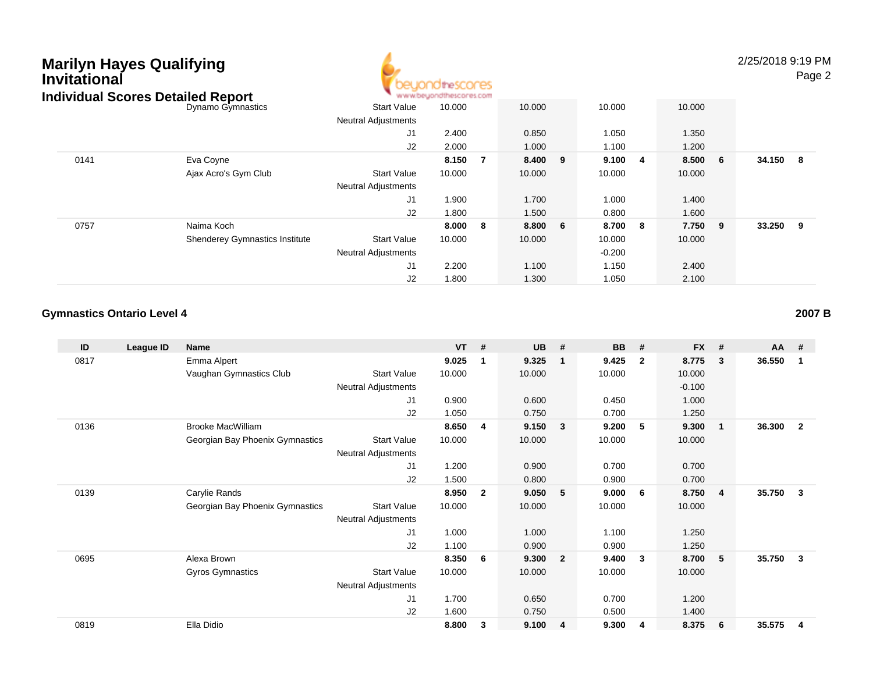

2/25/2018 9:19 PMPage 2

| igividuai Scores Detalled Report |                                       |                            | ALALAM DRATCH JOSE MOTOR AD FOLLE |    |         |          |         |          |     |
|----------------------------------|---------------------------------------|----------------------------|-----------------------------------|----|---------|----------|---------|----------|-----|
|                                  | Dynamo Gymnastics                     | <b>Start Value</b>         | 10.000                            |    | 10.000  | 10.000   | 10.000  |          |     |
|                                  |                                       | <b>Neutral Adjustments</b> |                                   |    |         |          |         |          |     |
|                                  |                                       | J1                         | 2.400                             |    | 0.850   | 1.050    | 1.350   |          |     |
|                                  |                                       | J2                         | 2.000                             |    | 1.000   | 1.100    | 1.200   |          |     |
| 0141                             | Eva Coyne                             |                            | 8.150                             | 7  | 8.400 9 | 9.100 4  | 8.500 6 | 34.150 8 |     |
|                                  | Ajax Acro's Gym Club                  | <b>Start Value</b>         | 10.000                            |    | 10.000  | 10.000   | 10.000  |          |     |
|                                  |                                       | <b>Neutral Adjustments</b> |                                   |    |         |          |         |          |     |
|                                  |                                       | J1                         | 1.900                             |    | 1.700   | 1.000    | 1.400   |          |     |
|                                  |                                       | J2                         | 1.800                             |    | 1.500   | 0.800    | 1.600   |          |     |
| 0757                             | Naima Koch                            |                            | 8.000                             | -8 | 8.800 6 | 8.700 8  | 7.750 9 | 33.250   | - 9 |
|                                  | <b>Shenderey Gymnastics Institute</b> | <b>Start Value</b>         | 10.000                            |    | 10.000  | 10.000   | 10.000  |          |     |
|                                  |                                       | <b>Neutral Adjustments</b> |                                   |    |         | $-0.200$ |         |          |     |
|                                  |                                       | J <sub>1</sub>             | 2.200                             |    | 1.100   | 1.150    | 2.400   |          |     |
|                                  |                                       | J2                         | 1.800                             |    | 1.300   | 1.050    | 2.100   |          |     |

### **Gymnastics Ontario Level 4**

| ID   | League ID | <b>Name</b>                     |                            | <b>VT</b> | #            | <b>UB</b> | #              | <b>BB</b> | #              | <b>FX</b> | #                       | AA     | #                       |
|------|-----------|---------------------------------|----------------------------|-----------|--------------|-----------|----------------|-----------|----------------|-----------|-------------------------|--------|-------------------------|
| 0817 |           | Emma Alpert                     |                            | 9.025     | 1            | 9.325     | -1             | 9.425     | $\overline{2}$ | 8.775     | $\mathbf{3}$            | 36.550 | $\overline{1}$          |
|      |           | Vaughan Gymnastics Club         | <b>Start Value</b>         | 10.000    |              | 10.000    |                | 10.000    |                | 10.000    |                         |        |                         |
|      |           |                                 | <b>Neutral Adjustments</b> |           |              |           |                |           |                | $-0.100$  |                         |        |                         |
|      |           |                                 | J1                         | 0.900     |              | 0.600     |                | 0.450     |                | 1.000     |                         |        |                         |
|      |           |                                 | J2                         | 1.050     |              | 0.750     |                | 0.700     |                | 1.250     |                         |        |                         |
| 0136 |           | <b>Brooke MacWilliam</b>        |                            | 8.650     | -4           | 9.150     | 3              | 9.200     | 5              | 9.300     | $\overline{\mathbf{1}}$ | 36.300 | $\overline{2}$          |
|      |           | Georgian Bay Phoenix Gymnastics | <b>Start Value</b>         | 10.000    |              | 10.000    |                | 10.000    |                | 10.000    |                         |        |                         |
|      |           |                                 | <b>Neutral Adjustments</b> |           |              |           |                |           |                |           |                         |        |                         |
|      |           |                                 | J1                         | 1.200     |              | 0.900     |                | 0.700     |                | 0.700     |                         |        |                         |
|      |           |                                 | J2                         | 1.500     |              | 0.800     |                | 0.900     |                | 0.700     |                         |        |                         |
| 0139 |           | Carylie Rands                   |                            | 8.950     | $\mathbf{2}$ | 9.050     | 5              | 9.000     | -6             | 8.750     | $\overline{4}$          | 35.750 | $\mathbf{3}$            |
|      |           | Georgian Bay Phoenix Gymnastics | <b>Start Value</b>         | 10.000    |              | 10.000    |                | 10.000    |                | 10.000    |                         |        |                         |
|      |           |                                 | <b>Neutral Adjustments</b> |           |              |           |                |           |                |           |                         |        |                         |
|      |           |                                 | J1                         | 1.000     |              | 1.000     |                | 1.100     |                | 1.250     |                         |        |                         |
|      |           |                                 | J2                         | 1.100     |              | 0.900     |                | 0.900     |                | 1.250     |                         |        |                         |
| 0695 |           | Alexa Brown                     |                            | 8.350     | 6            | 9.300     | $\overline{2}$ | 9.400     | $\mathbf{3}$   | 8.700     | 5                       | 35.750 | - 3                     |
|      |           | Gyros Gymnastics                | <b>Start Value</b>         | 10.000    |              | 10.000    |                | 10.000    |                | 10.000    |                         |        |                         |
|      |           |                                 | <b>Neutral Adjustments</b> |           |              |           |                |           |                |           |                         |        |                         |
|      |           |                                 | J1                         | 1.700     |              | 0.650     |                | 0.700     |                | 1.200     |                         |        |                         |
|      |           |                                 | J2                         | 1.600     |              | 0.750     |                | 0.500     |                | 1.400     |                         |        |                         |
| 0819 |           | Ella Didio                      |                            | 8.800     | 3            | 9.100     | 4              | 9.300     | -4             | 8.375     | - 6                     | 35.575 | $\overline{\mathbf{4}}$ |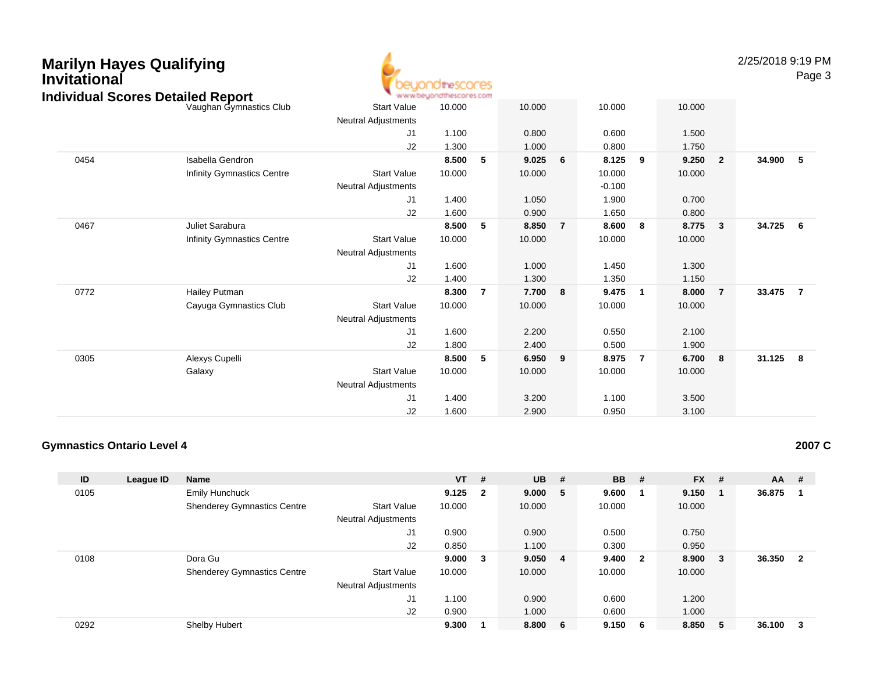## **Marilyn Hayes QualifyingInvitational**



2/25/2018 9:19 PM

Page 3

|      | Individual Scores Detailed Report |                            | www.beyondthescores.com |                |        |                |          |                |        |                         |        |                |
|------|-----------------------------------|----------------------------|-------------------------|----------------|--------|----------------|----------|----------------|--------|-------------------------|--------|----------------|
|      | Vaughan Gymnastics Club           | <b>Start Value</b>         | 10.000                  |                | 10.000 |                | 10.000   |                | 10.000 |                         |        |                |
|      |                                   | Neutral Adjustments        |                         |                |        |                |          |                |        |                         |        |                |
|      |                                   | J1                         | 1.100                   |                | 0.800  |                | 0.600    |                | 1.500  |                         |        |                |
|      |                                   | J2                         | 1.300                   |                | 1.000  |                | 0.800    |                | 1.750  |                         |        |                |
| 0454 | Isabella Gendron                  |                            | 8.500                   | 5              | 9.025  | 6              | 8.125    | 9              | 9.250  | $\overline{\mathbf{2}}$ | 34.900 | 5              |
|      | Infinity Gymnastics Centre        | <b>Start Value</b>         | 10.000                  |                | 10.000 |                | 10.000   |                | 10.000 |                         |        |                |
|      |                                   | <b>Neutral Adjustments</b> |                         |                |        |                | $-0.100$ |                |        |                         |        |                |
|      |                                   | J <sub>1</sub>             | 1.400                   |                | 1.050  |                | 1.900    |                | 0.700  |                         |        |                |
|      |                                   | J2                         | 1.600                   |                | 0.900  |                | 1.650    |                | 0.800  |                         |        |                |
| 0467 | Juliet Sarabura                   |                            | 8.500                   | 5              | 8.850  | $\overline{7}$ | 8.600    | 8              | 8.775  | $\mathbf{3}$            | 34.725 | 6              |
|      | Infinity Gymnastics Centre        | <b>Start Value</b>         | 10.000                  |                | 10.000 |                | 10.000   |                | 10.000 |                         |        |                |
|      |                                   | <b>Neutral Adjustments</b> |                         |                |        |                |          |                |        |                         |        |                |
|      |                                   | J <sub>1</sub>             | 1.600                   |                | 1.000  |                | 1.450    |                | 1.300  |                         |        |                |
|      |                                   | J2                         | 1.400                   |                | 1.300  |                | 1.350    |                | 1.150  |                         |        |                |
| 0772 | Hailey Putman                     |                            | 8.300                   | $\overline{7}$ | 7.700  | 8              | 9.475    | $\mathbf{1}$   | 8.000  | $\overline{7}$          | 33.475 | $\overline{7}$ |
|      | Cayuga Gymnastics Club            | <b>Start Value</b>         | 10.000                  |                | 10.000 |                | 10.000   |                | 10.000 |                         |        |                |
|      |                                   | Neutral Adjustments        |                         |                |        |                |          |                |        |                         |        |                |
|      |                                   | J <sub>1</sub>             | 1.600                   |                | 2.200  |                | 0.550    |                | 2.100  |                         |        |                |
|      |                                   | J2                         | 1.800                   |                | 2.400  |                | 0.500    |                | 1.900  |                         |        |                |
| 0305 | Alexys Cupelli                    |                            | 8.500                   | -5             | 6.950  | 9              | 8.975    | $\overline{7}$ | 6.700  | 8                       | 31.125 | - 8            |
|      | Galaxy                            | <b>Start Value</b>         | 10.000                  |                | 10.000 |                | 10.000   |                | 10.000 |                         |        |                |
|      |                                   | Neutral Adjustments        |                         |                |        |                |          |                |        |                         |        |                |
|      |                                   | J <sub>1</sub>             | 1.400                   |                | 3.200  |                | 1.100    |                | 3.500  |                         |        |                |
|      |                                   | J2                         | 1.600                   |                | 2.900  |                | 0.950    |                | 3.100  |                         |        |                |
|      |                                   |                            |                         |                |        |                |          |                |        |                         |        |                |

### **Gymnastics Ontario Level 4**

**ID League ID Name VT # UB # BB # FX # AA #** 0105 Emily Hunchuck **9.125 <sup>2</sup> 9.000 <sup>5</sup> 9.600 <sup>1</sup> 9.150 <sup>1</sup> 36.875 <sup>1</sup>** Shenderey Gymnastics Centre Start Value 10.000 10.000 10.000 10.000 Neutral Adjustments J1 0.900 0.900 0.500 0.750 J2 0.850 1.100 0.300 0.950 0108 Dora Gu **9.000 <sup>3</sup> 9.050 <sup>4</sup> 9.400 <sup>2</sup> 8.900 <sup>3</sup> 36.350 <sup>2</sup>** Shenderey Gymnastics Centre Start Value 10.000 10.000 10.000 10.000 Neutral Adjustments J1 1.100 0.900 0.600 1.200 J2 0.900 1.000 0.600 1.000 0292Shelby Hubert **9.300 <sup>1</sup> 8.800 <sup>6</sup> 9.150 <sup>6</sup> 8.850 <sup>5</sup> 36.100 <sup>3</sup>**

**2007 C**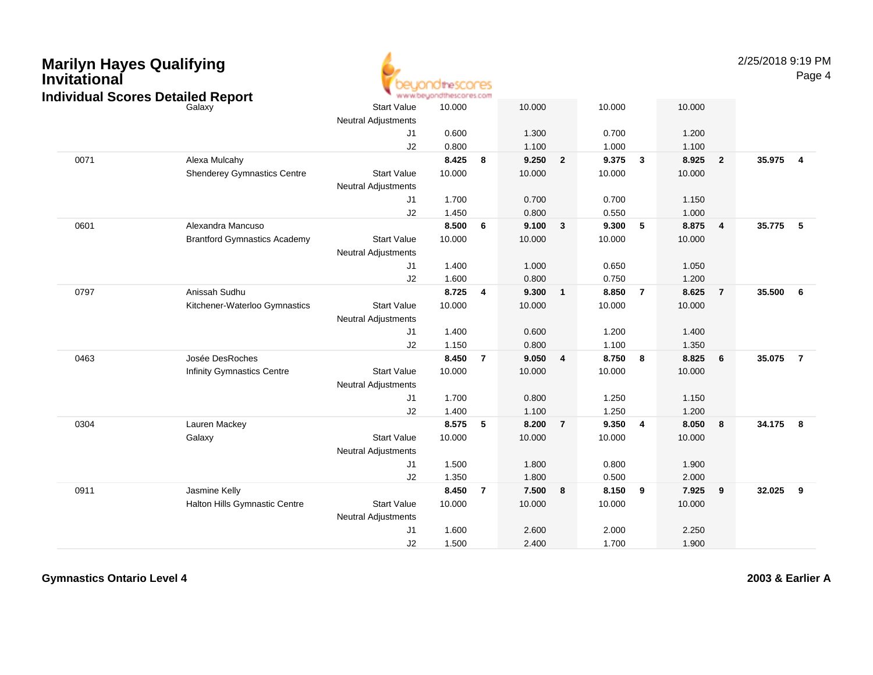| <b>Marilyn Hayes Qualifying</b><br>Invitational | <b>Individual Scores Detailed Report</b> |                                                  | idthe SCONES<br>www.beyondthescores.com |                |        |                |        |                         |        |                | 2/25/2018 9:19 PM | Page 4         |
|-------------------------------------------------|------------------------------------------|--------------------------------------------------|-----------------------------------------|----------------|--------|----------------|--------|-------------------------|--------|----------------|-------------------|----------------|
|                                                 | Galaxy                                   | <b>Start Value</b><br><b>Neutral Adjustments</b> | 10.000                                  |                | 10.000 |                | 10.000 |                         | 10.000 |                |                   |                |
|                                                 |                                          | J1                                               | 0.600                                   |                | 1.300  |                | 0.700  |                         | 1.200  |                |                   |                |
|                                                 |                                          | J2                                               | 0.800                                   |                | 1.100  |                | 1.000  |                         | 1.100  |                |                   |                |
| 0071                                            | Alexa Mulcahy                            |                                                  | 8.425                                   | 8              | 9.250  | $\overline{2}$ | 9.375  | $\overline{\mathbf{3}}$ | 8.925  | $\overline{2}$ | 35.975            | $\overline{4}$ |
|                                                 | <b>Shenderey Gymnastics Centre</b>       | <b>Start Value</b>                               | 10.000                                  |                | 10.000 |                | 10.000 |                         | 10.000 |                |                   |                |
|                                                 |                                          | <b>Neutral Adjustments</b>                       |                                         |                |        |                |        |                         |        |                |                   |                |
|                                                 |                                          | J <sub>1</sub>                                   | 1.700                                   |                | 0.700  |                | 0.700  |                         | 1.150  |                |                   |                |
|                                                 |                                          | J2                                               | 1.450                                   |                | 0.800  |                | 0.550  |                         | 1.000  |                |                   |                |
| 0601                                            | Alexandra Mancuso                        |                                                  | 8.500                                   | 6              | 9.100  | $\mathbf{3}$   | 9.300  | 5                       | 8.875  | 4              | 35.775            | -5             |
|                                                 | <b>Brantford Gymnastics Academy</b>      | <b>Start Value</b>                               | 10.000                                  |                | 10.000 |                | 10.000 |                         | 10.000 |                |                   |                |
|                                                 |                                          | <b>Neutral Adjustments</b>                       |                                         |                |        |                |        |                         |        |                |                   |                |
|                                                 |                                          | J1                                               | 1.400                                   |                | 1.000  |                | 0.650  |                         | 1.050  |                |                   |                |
|                                                 |                                          | J2                                               | 1.600                                   |                | 0.800  |                | 0.750  |                         | 1.200  |                |                   |                |
| 0797                                            | Anissah Sudhu                            |                                                  | 8.725                                   | $\overline{4}$ | 9.300  | $\mathbf{1}$   | 8.850  | $\overline{7}$          | 8.625  | $\overline{7}$ | 35.500            | 6              |
|                                                 | Kitchener-Waterloo Gymnastics            | <b>Start Value</b>                               | 10.000                                  |                | 10.000 |                | 10.000 |                         | 10.000 |                |                   |                |
|                                                 |                                          | <b>Neutral Adjustments</b>                       |                                         |                |        |                |        |                         |        |                |                   |                |
|                                                 |                                          | J <sub>1</sub>                                   | 1.400                                   |                | 0.600  |                | 1.200  |                         | 1.400  |                |                   |                |
|                                                 |                                          | J2                                               | 1.150                                   |                | 0.800  |                | 1.100  |                         | 1.350  |                |                   |                |
| 0463                                            | Josée DesRoches                          |                                                  | 8.450                                   | $\overline{7}$ | 9.050  | $\overline{4}$ | 8.750  | 8                       | 8.825  | 6              | 35.075            | $\overline{7}$ |
|                                                 | <b>Infinity Gymnastics Centre</b>        | <b>Start Value</b>                               | 10.000                                  |                | 10.000 |                | 10.000 |                         | 10.000 |                |                   |                |
|                                                 |                                          | <b>Neutral Adjustments</b>                       |                                         |                |        |                |        |                         |        |                |                   |                |
|                                                 |                                          | J <sub>1</sub>                                   | 1.700                                   |                | 0.800  |                | 1.250  |                         | 1.150  |                |                   |                |
|                                                 |                                          | J2                                               | 1.400                                   |                | 1.100  |                | 1.250  |                         | 1.200  |                |                   |                |
| 0304                                            | Lauren Mackey                            |                                                  | 8.575                                   | -5             | 8.200  | $\overline{7}$ | 9.350  | $\overline{4}$          | 8.050  | 8              | 34.175            | 8              |
|                                                 | Galaxy                                   | <b>Start Value</b>                               | 10.000                                  |                | 10.000 |                | 10.000 |                         | 10.000 |                |                   |                |
|                                                 |                                          | <b>Neutral Adjustments</b>                       |                                         |                |        |                |        |                         |        |                |                   |                |
|                                                 |                                          | $\sf J1$                                         | 1.500                                   |                | 1.800  |                | 0.800  |                         | 1.900  |                |                   |                |
|                                                 |                                          | J2                                               | 1.350                                   |                | 1.800  |                | 0.500  |                         | 2.000  |                |                   |                |
| 0911                                            | Jasmine Kelly                            |                                                  | 8.450                                   | $\overline{7}$ | 7.500  | 8              | 8.150  | 9                       | 7.925  | 9              | 32.025            | 9              |
|                                                 | Halton Hills Gymnastic Centre            | <b>Start Value</b>                               | 10.000                                  |                | 10.000 |                | 10.000 |                         | 10.000 |                |                   |                |
|                                                 |                                          | <b>Neutral Adjustments</b>                       |                                         |                |        |                |        |                         |        |                |                   |                |
|                                                 |                                          | J <sub>1</sub>                                   | 1.600                                   |                | 2.600  |                | 2.000  |                         | 2.250  |                |                   |                |
|                                                 |                                          | J2                                               | 1.500                                   |                | 2.400  |                | 1.700  |                         | 1.900  |                |                   |                |

**Gymnastics Ontario Level 4**

**2003 & Earlier A**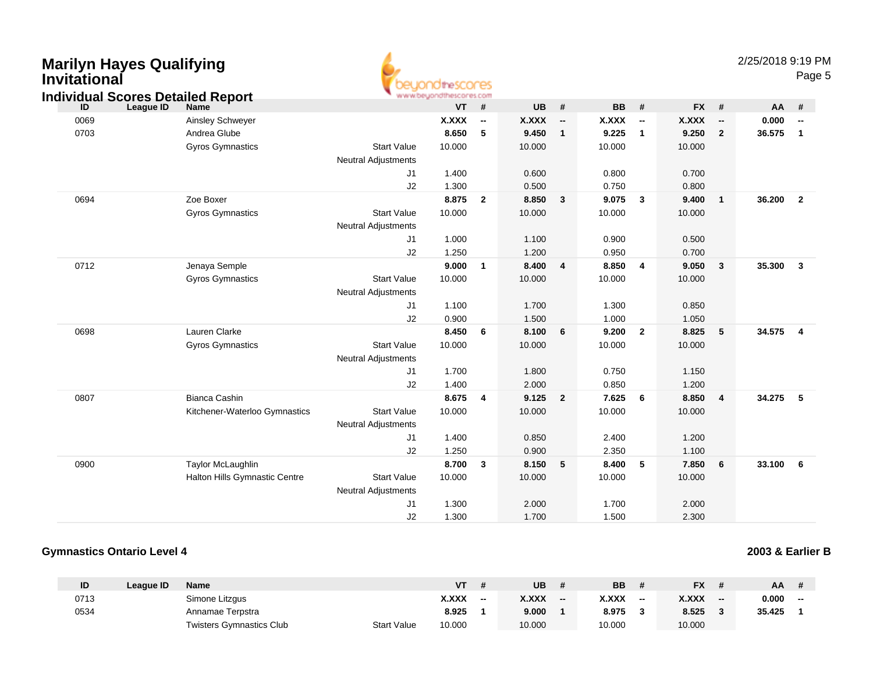| <b>Marilyn Hayes Qualifying</b><br><b>Invitational</b><br><b>Individual Scores Detailed Report</b> |                               |                                                  | <b>ionditescores</b><br>www.beyondthescores.com |                          |              |                          |           |                          |              |                          | 2/25/2018 9:19 PM | Page 5                  |
|----------------------------------------------------------------------------------------------------|-------------------------------|--------------------------------------------------|-------------------------------------------------|--------------------------|--------------|--------------------------|-----------|--------------------------|--------------|--------------------------|-------------------|-------------------------|
| League ID<br>ID                                                                                    | Name                          |                                                  | <b>VT</b>                                       | #                        | UB           | #                        | <b>BB</b> | #                        | <b>FX</b>    | $\pmb{\#}$               | AA                | #                       |
| 0069                                                                                               | Ainsley Schweyer              |                                                  | <b>X.XXX</b>                                    | $\overline{\phantom{a}}$ | <b>X.XXX</b> | $\overline{\phantom{a}}$ | X.XXX     | $\overline{\phantom{a}}$ | <b>X.XXX</b> | $\overline{\phantom{a}}$ | 0.000             | $\sim$                  |
| 0703                                                                                               | Andrea Glube                  |                                                  | 8.650                                           | 5                        | 9.450        | $\mathbf{1}$             | 9.225     | $\overline{1}$           | 9.250        | $\overline{2}$           | 36.575            | $\overline{\mathbf{1}}$ |
|                                                                                                    | <b>Gyros Gymnastics</b>       | <b>Start Value</b>                               | 10.000                                          |                          | 10.000       |                          | 10.000    |                          | 10.000       |                          |                   |                         |
|                                                                                                    |                               | <b>Neutral Adjustments</b>                       |                                                 |                          |              |                          |           |                          |              |                          |                   |                         |
|                                                                                                    |                               | J1                                               | 1.400                                           |                          | 0.600        |                          | 0.800     |                          | 0.700        |                          |                   |                         |
|                                                                                                    |                               | J2                                               | 1.300                                           |                          | 0.500        |                          | 0.750     |                          | 0.800        |                          |                   |                         |
| 0694                                                                                               | Zoe Boxer                     |                                                  | 8.875                                           | $\overline{2}$           | 8.850        | 3                        | 9.075     | $\mathbf{3}$             | 9.400        | $\mathbf{1}$             | 36.200            | $\overline{2}$          |
|                                                                                                    | <b>Gyros Gymnastics</b>       | <b>Start Value</b><br><b>Neutral Adjustments</b> | 10.000                                          |                          | 10.000       |                          | 10.000    |                          | 10.000       |                          |                   |                         |
|                                                                                                    |                               | J1                                               | 1.000                                           |                          | 1.100        |                          | 0.900     |                          | 0.500        |                          |                   |                         |
|                                                                                                    |                               | J2                                               | 1.250                                           |                          | 1.200        |                          | 0.950     |                          | 0.700        |                          |                   |                         |
| 0712                                                                                               | Jenaya Semple                 |                                                  | 9.000                                           | $\overline{1}$           | 8.400        | $\overline{\mathbf{4}}$  | 8.850     | $\overline{4}$           | 9.050        | 3                        | 35.300            | $\overline{\mathbf{3}}$ |
|                                                                                                    | <b>Gyros Gymnastics</b>       | <b>Start Value</b>                               | 10.000                                          |                          | 10.000       |                          | 10.000    |                          | 10.000       |                          |                   |                         |
|                                                                                                    |                               | <b>Neutral Adjustments</b>                       |                                                 |                          |              |                          |           |                          |              |                          |                   |                         |
|                                                                                                    |                               | J1                                               | 1.100                                           |                          | 1.700        |                          | 1.300     |                          | 0.850        |                          |                   |                         |
|                                                                                                    |                               | J2                                               | 0.900                                           |                          | 1.500        |                          | 1.000     |                          | 1.050        |                          |                   |                         |
| 0698                                                                                               | Lauren Clarke                 |                                                  | 8.450                                           | 6                        | 8.100        | 6                        | 9.200     | $\overline{2}$           | 8.825        | $5\phantom{.0}$          | 34.575            | $\overline{4}$          |
|                                                                                                    | <b>Gyros Gymnastics</b>       | <b>Start Value</b>                               | 10.000                                          |                          | 10.000       |                          | 10.000    |                          | 10.000       |                          |                   |                         |
|                                                                                                    |                               | <b>Neutral Adjustments</b>                       |                                                 |                          |              |                          |           |                          |              |                          |                   |                         |
|                                                                                                    |                               | J1                                               | 1.700                                           |                          | 1.800        |                          | 0.750     |                          | 1.150        |                          |                   |                         |
|                                                                                                    |                               | J2                                               | 1.400                                           |                          | 2.000        |                          | 0.850     |                          | 1.200        |                          |                   |                         |
| 0807                                                                                               | <b>Bianca Cashin</b>          |                                                  | 8.675                                           | $\overline{\mathbf{4}}$  | 9.125        | $\overline{2}$           | 7.625     | 6                        | 8.850        | $\overline{\mathbf{4}}$  | 34.275            | $-5$                    |
|                                                                                                    | Kitchener-Waterloo Gymnastics | <b>Start Value</b><br><b>Neutral Adjustments</b> | 10.000                                          |                          | 10.000       |                          | 10.000    |                          | 10.000       |                          |                   |                         |
|                                                                                                    |                               | J1                                               | 1.400                                           |                          | 0.850        |                          | 2.400     |                          | 1.200        |                          |                   |                         |
|                                                                                                    |                               | J2                                               | 1.250                                           |                          | 0.900        |                          | 2.350     |                          | 1.100        |                          |                   |                         |
| 0900                                                                                               | Taylor McLaughlin             |                                                  | 8.700                                           | $\mathbf{3}$             | 8.150        | 5                        | 8.400     | 5                        | 7.850        | 6                        | 33.100            | $6\overline{6}$         |
|                                                                                                    | Halton Hills Gymnastic Centre | <b>Start Value</b><br><b>Neutral Adjustments</b> | 10.000                                          |                          | 10.000       |                          | 10.000    |                          | 10.000       |                          |                   |                         |
|                                                                                                    |                               | J1                                               | 1.300                                           |                          | 2.000        |                          | 1.700     |                          | 2.000        |                          |                   |                         |
|                                                                                                    |                               | J2                                               | 1.300                                           |                          | 1.700        |                          | 1.500     |                          | 2.300        |                          |                   |                         |

### **Gymnastics Ontario Level 4**

**2003 & Earlier B**

| ID   | League ID | <b>Name</b>                     |                    | <b>VT</b> |       | UB           |       | BB           |    | <b>FX</b>    |       | AA     |    |
|------|-----------|---------------------------------|--------------------|-----------|-------|--------------|-------|--------------|----|--------------|-------|--------|----|
| 0713 |           | Simone Litzgus                  |                    | X.XXX     | $- -$ | <b>X.XXX</b> | $- -$ | <b>X.XXX</b> | -- | <b>X.XXX</b> | $- -$ | 0.000  | -- |
| 0534 |           | Annamae Terpstra                |                    | 8.925     |       | 9.000        |       | 8.975        |    | 8.525        |       | 35.425 |    |
|      |           | <b>Twisters Gymnastics Club</b> | <b>Start Value</b> | 10.000    |       | 10.000       |       | 10.000       |    | 10.000       |       |        |    |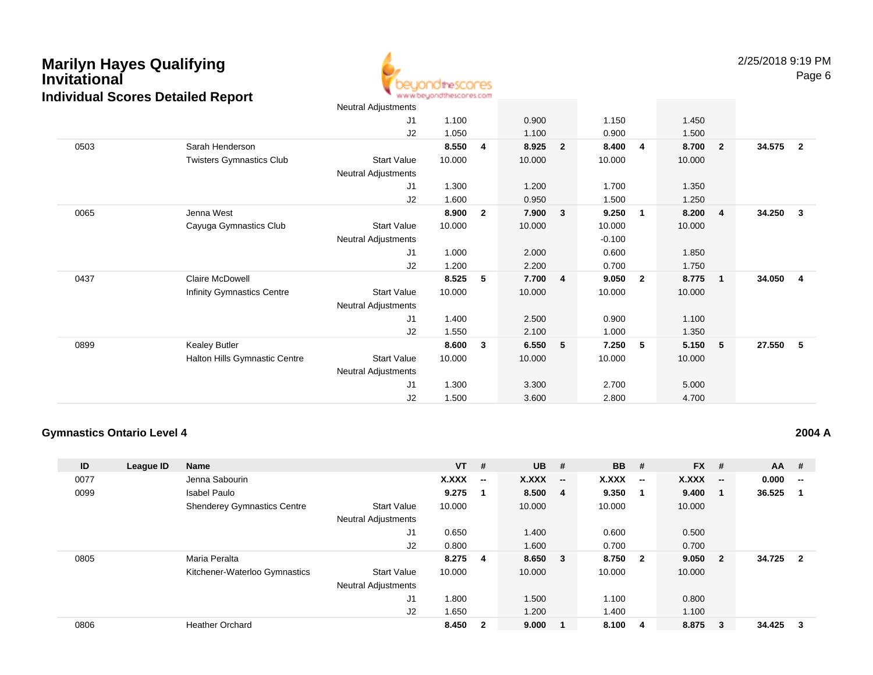

|      |                                 | Neutral Adjustments        |        |              |        |                |          |                         |        |                |        |                |
|------|---------------------------------|----------------------------|--------|--------------|--------|----------------|----------|-------------------------|--------|----------------|--------|----------------|
|      |                                 | J1                         | 1.100  |              | 0.900  |                | 1.150    |                         | 1.450  |                |        |                |
|      |                                 | J2                         | 1.050  |              | 1.100  |                | 0.900    |                         | 1.500  |                |        |                |
| 0503 | Sarah Henderson                 |                            | 8.550  | 4            | 8.925  | $\overline{2}$ | 8.400    | $\overline{\mathbf{4}}$ | 8.700  | $\overline{2}$ | 34.575 | $\overline{2}$ |
|      | <b>Twisters Gymnastics Club</b> | <b>Start Value</b>         | 10.000 |              | 10.000 |                | 10.000   |                         | 10.000 |                |        |                |
|      |                                 | Neutral Adjustments        |        |              |        |                |          |                         |        |                |        |                |
|      |                                 | J1                         | 1.300  |              | 1.200  |                | 1.700    |                         | 1.350  |                |        |                |
|      |                                 | J2                         | 1.600  |              | 0.950  |                | 1.500    |                         | 1.250  |                |        |                |
| 0065 | Jenna West                      |                            | 8.900  | $\mathbf{2}$ | 7.900  | 3              | 9.250    | $\overline{1}$          | 8.200  | $\overline{4}$ | 34.250 | $\mathbf{3}$   |
|      | Cayuga Gymnastics Club          | <b>Start Value</b>         | 10.000 |              | 10.000 |                | 10.000   |                         | 10.000 |                |        |                |
|      |                                 | Neutral Adjustments        |        |              |        |                | $-0.100$ |                         |        |                |        |                |
|      |                                 | J1                         | 1.000  |              | 2.000  |                | 0.600    |                         | 1.850  |                |        |                |
|      |                                 | J2                         | 1.200  |              | 2.200  |                | 0.700    |                         | 1.750  |                |        |                |
| 0437 | <b>Claire McDowell</b>          |                            | 8.525  | 5            | 7.700  | $\overline{4}$ | 9.050    | $\overline{\mathbf{2}}$ | 8.775  | $\overline{1}$ | 34.050 | $\overline{4}$ |
|      | Infinity Gymnastics Centre      | <b>Start Value</b>         | 10.000 |              | 10.000 |                | 10.000   |                         | 10.000 |                |        |                |
|      |                                 | <b>Neutral Adjustments</b> |        |              |        |                |          |                         |        |                |        |                |
|      |                                 | J1                         | 1.400  |              | 2.500  |                | 0.900    |                         | 1.100  |                |        |                |
|      |                                 | J2                         | 1.550  |              | 2.100  |                | 1.000    |                         | 1.350  |                |        |                |
| 0899 | <b>Kealey Butler</b>            |                            | 8.600  | 3            | 6.550  | -5             | 7.250    | - 5                     | 5.150  | -5             | 27.550 | 5              |
|      | Halton Hills Gymnastic Centre   | <b>Start Value</b>         | 10.000 |              | 10.000 |                | 10.000   |                         | 10.000 |                |        |                |
|      |                                 | Neutral Adjustments        |        |              |        |                |          |                         |        |                |        |                |
|      |                                 | J1                         | 1.300  |              | 3.300  |                | 2.700    |                         | 5.000  |                |        |                |
|      |                                 | J2                         | 1.500  |              | 3.600  |                | 2.800    |                         | 4.700  |                |        |                |
|      |                                 |                            |        |              |        |                |          |                         |        |                |        |                |

### **Gymnastics Ontario Level 4**

| ID   | League ID | <b>Name</b>                        |                            | $VT$ # |                          | <b>UB</b> | #                        | <b>BB</b> | #                       | $FX$ # |                          | $AA$ #   |                         |
|------|-----------|------------------------------------|----------------------------|--------|--------------------------|-----------|--------------------------|-----------|-------------------------|--------|--------------------------|----------|-------------------------|
| 0077 |           | Jenna Sabourin                     |                            | X.XXX  | $\overline{\phantom{a}}$ | X.XXX     | $\overline{\phantom{a}}$ | X.XXX     | $\hspace{0.05cm}$       | X.XXX  | $\overline{\phantom{a}}$ | 0.000    | $-$                     |
| 0099 |           | <b>Isabel Paulo</b>                |                            | 9.275  |                          | 8.500 4   |                          | 9.350     |                         | 9.400  |                          | 36.525   | $\overline{\mathbf{1}}$ |
|      |           | <b>Shenderey Gymnastics Centre</b> | <b>Start Value</b>         | 10.000 |                          | 10.000    |                          | 10.000    |                         | 10.000 |                          |          |                         |
|      |           |                                    | <b>Neutral Adjustments</b> |        |                          |           |                          |           |                         |        |                          |          |                         |
|      |           |                                    | J1                         | 0.650  |                          | 1.400     |                          | 0.600     |                         | 0.500  |                          |          |                         |
|      |           |                                    | J <sub>2</sub>             | 0.800  |                          | 1.600     |                          | 0.700     |                         | 0.700  |                          |          |                         |
| 0805 |           | Maria Peralta                      |                            | 8.275  | 4                        | 8.650 3   |                          | 8.750     | $\overline{\mathbf{2}}$ | 9.050  | $\overline{\mathbf{2}}$  | 34.725 2 |                         |
|      |           | Kitchener-Waterloo Gymnastics      | <b>Start Value</b>         | 10.000 |                          | 10.000    |                          | 10.000    |                         | 10.000 |                          |          |                         |
|      |           |                                    | <b>Neutral Adjustments</b> |        |                          |           |                          |           |                         |        |                          |          |                         |
|      |           |                                    | J1                         | .800   |                          | 1.500     |                          | 1.100     |                         | 0.800  |                          |          |                         |
|      |           |                                    | J <sub>2</sub>             | 1.650  |                          | 1.200     |                          | 1.400     |                         | 1.100  |                          |          |                         |
| 0806 |           | <b>Heather Orchard</b>             |                            | 8.450  | $\mathbf{2}$             | 9.000     |                          | 8.100     | 4                       | 8.875  | 3                        | 34.425   | $\overline{\mathbf{3}}$ |
|      |           |                                    |                            |        |                          |           |                          |           |                         |        |                          |          |                         |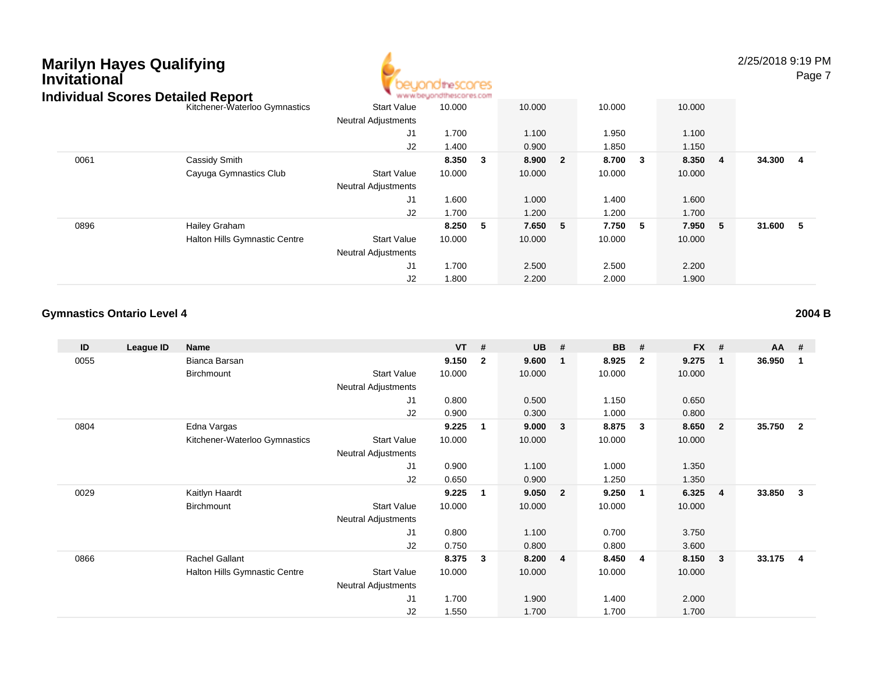

2/25/2018 9:19 PM

Page 7

|      | idividual Scores Detailed Report |                            | AR AR AR OVERTHE ROSS MUSICING WOULD FAIL |   |        |                         |         |     |         |          |  |
|------|----------------------------------|----------------------------|-------------------------------------------|---|--------|-------------------------|---------|-----|---------|----------|--|
|      | Kitchener-Waterloo Gymnastics    | <b>Start Value</b>         | 10.000                                    |   | 10.000 |                         | 10.000  |     | 10.000  |          |  |
|      |                                  | <b>Neutral Adjustments</b> |                                           |   |        |                         |         |     |         |          |  |
|      |                                  | J1                         | 1.700                                     |   | 1.100  |                         | 1.950   |     | 1.100   |          |  |
|      |                                  | J2                         | 1.400                                     |   | 0.900  |                         | 1.850   |     | 1.150   |          |  |
| 0061 | Cassidy Smith                    |                            | 8.350                                     | 3 | 8.900  | $\overline{\mathbf{2}}$ | 8.700   | - 3 | 8.350 4 | 34.300 4 |  |
|      | Cayuga Gymnastics Club           | <b>Start Value</b>         | 10.000                                    |   | 10.000 |                         | 10.000  |     | 10.000  |          |  |
|      |                                  | <b>Neutral Adjustments</b> |                                           |   |        |                         |         |     |         |          |  |
|      |                                  | J <sub>1</sub>             | 1.600                                     |   | 1.000  |                         | 1.400   |     | 1.600   |          |  |
|      |                                  | J2                         | 1.700                                     |   | 1.200  |                         | 1.200   |     | 1.700   |          |  |
| 0896 | Hailey Graham                    |                            | 8.250                                     | 5 | 7.650  | -5                      | 7.750 5 |     | 7.950 5 | 31.600 5 |  |
|      | Halton Hills Gymnastic Centre    | <b>Start Value</b>         | 10.000                                    |   | 10.000 |                         | 10.000  |     | 10.000  |          |  |
|      |                                  | <b>Neutral Adjustments</b> |                                           |   |        |                         |         |     |         |          |  |
|      |                                  | J <sub>1</sub>             | 1.700                                     |   | 2.500  |                         | 2.500   |     | 2.200   |          |  |
|      |                                  | J2                         | 1.800                                     |   | 2.200  |                         | 2.000   |     | 1.900   |          |  |

### **Gymnastics Ontario Level 4**

| ID   | League ID | Name                                 |                            | $VT$ # |                | <b>UB</b> | #                       | <b>BB</b> | #                       | <b>FX</b> | - #                     | <b>AA</b> | #              |
|------|-----------|--------------------------------------|----------------------------|--------|----------------|-----------|-------------------------|-----------|-------------------------|-----------|-------------------------|-----------|----------------|
| 0055 |           | Bianca Barsan                        |                            | 9.150  | $\overline{2}$ | 9.600     | $\mathbf{1}$            | 8.925     | $\overline{\mathbf{2}}$ | 9.275     | $\mathbf{1}$            | 36.950    | -1             |
|      |           | Birchmount                           | <b>Start Value</b>         | 10.000 |                | 10.000    |                         | 10.000    |                         | 10.000    |                         |           |                |
|      |           |                                      | Neutral Adjustments        |        |                |           |                         |           |                         |           |                         |           |                |
|      |           |                                      | J1                         | 0.800  |                | 0.500     |                         | 1.150     |                         | 0.650     |                         |           |                |
|      |           |                                      | J2                         | 0.900  |                | 0.300     |                         | 1.000     |                         | 0.800     |                         |           |                |
| 0804 |           | Edna Vargas                          |                            | 9.225  | 1              | 9.000     | $\mathbf{3}$            | 8.875     | $\overline{\mathbf{3}}$ | 8.650     | $\overline{\mathbf{2}}$ | 35.750    | $\overline{2}$ |
|      |           | Kitchener-Waterloo Gymnastics        | <b>Start Value</b>         | 10.000 |                | 10.000    |                         | 10.000    |                         | 10.000    |                         |           |                |
|      |           |                                      | <b>Neutral Adjustments</b> |        |                |           |                         |           |                         |           |                         |           |                |
|      |           |                                      | J1                         | 0.900  |                | 1.100     |                         | 1.000     |                         | 1.350     |                         |           |                |
|      |           |                                      | J2                         | 0.650  |                | 0.900     |                         | 1.250     |                         | 1.350     |                         |           |                |
| 0029 |           | Kaitlyn Haardt                       |                            | 9.225  | 1              | 9.050     | $\overline{\mathbf{2}}$ | 9.250     | $\mathbf{1}$            | 6.325     | $\overline{4}$          | 33.850    | $\mathbf{3}$   |
|      |           | <b>Birchmount</b>                    | <b>Start Value</b>         | 10.000 |                | 10.000    |                         | 10.000    |                         | 10.000    |                         |           |                |
|      |           |                                      | <b>Neutral Adjustments</b> |        |                |           |                         |           |                         |           |                         |           |                |
|      |           |                                      | J1                         | 0.800  |                | 1.100     |                         | 0.700     |                         | 3.750     |                         |           |                |
|      |           |                                      | J2                         | 0.750  |                | 0.800     |                         | 0.800     |                         | 3.600     |                         |           |                |
| 0866 |           | Rachel Gallant                       |                            | 8.375  | 3              | 8.200     | $\overline{4}$          | 8.450     | $\overline{4}$          | 8.150     | $\overline{\mathbf{3}}$ | 33.175    | 4              |
|      |           | <b>Halton Hills Gymnastic Centre</b> | <b>Start Value</b>         | 10.000 |                | 10.000    |                         | 10.000    |                         | 10.000    |                         |           |                |
|      |           |                                      | Neutral Adjustments        |        |                |           |                         |           |                         |           |                         |           |                |
|      |           |                                      | J1                         | 1.700  |                | 1.900     |                         | 1.400     |                         | 2.000     |                         |           |                |
|      |           |                                      | J <sub>2</sub>             | 1.550  |                | 1.700     |                         | 1.700     |                         | 1.700     |                         |           |                |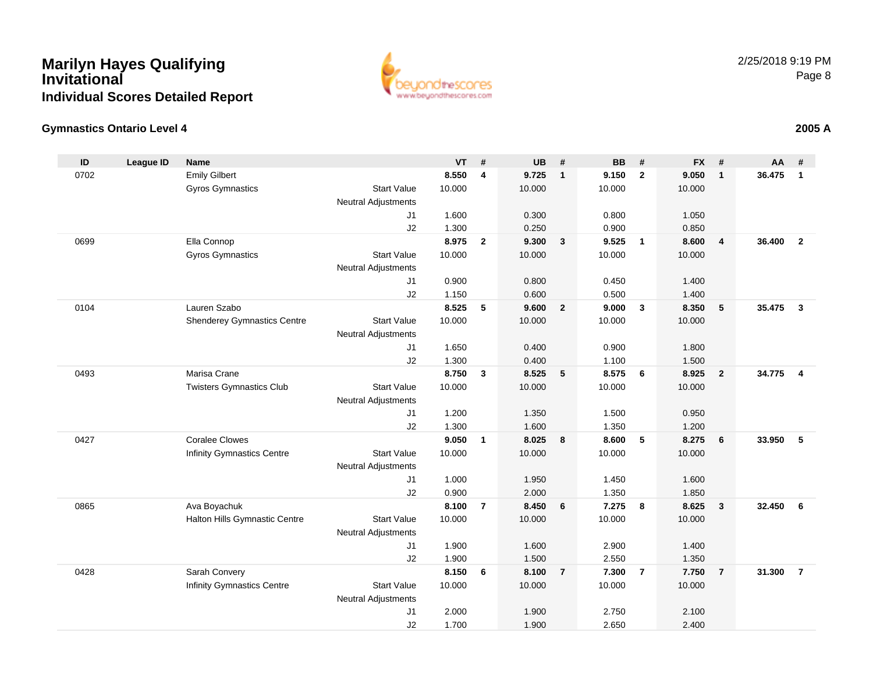

### **Gymnastics Ontario Level 4**

| ID   | <b>League ID</b> | <b>Name</b>                        |                                  | <b>VT</b>       | #              | <b>UB</b> | #                       | <b>BB</b> | #              | <b>FX</b> | #              | AA     | #              |
|------|------------------|------------------------------------|----------------------------------|-----------------|----------------|-----------|-------------------------|-----------|----------------|-----------|----------------|--------|----------------|
| 0702 |                  | <b>Emily Gilbert</b>               |                                  | 8.550           | 4              | 9.725     | $\overline{1}$          | 9.150     | $\overline{2}$ | 9.050     | $\mathbf{1}$   | 36.475 | $\mathbf{1}$   |
|      |                  | Gyros Gymnastics                   | <b>Start Value</b>               | 10.000          |                | 10.000    |                         | 10.000    |                | 10.000    |                |        |                |
|      |                  |                                    | <b>Neutral Adjustments</b>       |                 |                |           |                         |           |                |           |                |        |                |
|      |                  |                                    | J <sub>1</sub>                   | 1.600           |                | 0.300     |                         | 0.800     |                | 1.050     |                |        |                |
|      |                  |                                    | J2                               | 1.300           |                | 0.250     |                         | 0.900     |                | 0.850     |                |        |                |
| 0699 |                  | Ella Connop                        |                                  | 8.975           | $\overline{2}$ | 9.300     | $\overline{\mathbf{3}}$ | 9.525     | $\overline{1}$ | 8.600     | 4              | 36,400 | $\overline{2}$ |
|      |                  | <b>Gyros Gymnastics</b>            | <b>Start Value</b>               | 10.000          |                | 10.000    |                         | 10.000    |                | 10.000    |                |        |                |
|      |                  |                                    | <b>Neutral Adjustments</b>       |                 |                |           |                         |           |                |           |                |        |                |
|      |                  |                                    | J <sub>1</sub>                   | 0.900           |                | 0.800     |                         | 0.450     |                | 1.400     |                |        |                |
|      |                  | Lauren Szabo                       | J2                               | 1.150           |                | 0.600     |                         | 0.500     |                | 1.400     |                | 35.475 |                |
| 0104 |                  |                                    | <b>Start Value</b>               | 8.525<br>10.000 | 5              | 9.600     | $\overline{2}$          | 9.000     | $\mathbf{3}$   | 8.350     | 5              |        | $\mathbf{3}$   |
|      |                  | <b>Shenderey Gymnastics Centre</b> | <b>Neutral Adjustments</b>       |                 |                | 10.000    |                         | 10.000    |                | 10.000    |                |        |                |
|      |                  |                                    | J <sub>1</sub>                   | 1.650           |                | 0.400     |                         | 0.900     |                | 1.800     |                |        |                |
|      |                  |                                    | J2                               | 1.300           |                | 0.400     |                         | 1.100     |                | 1.500     |                |        |                |
| 0493 |                  | Marisa Crane                       |                                  | 8.750           | $\mathbf{3}$   | 8.525     | 5                       | 8.575     | 6              | 8.925     | $\overline{2}$ | 34.775 | $\overline{4}$ |
|      |                  | <b>Twisters Gymnastics Club</b>    | <b>Start Value</b>               | 10.000          |                | 10.000    |                         | 10.000    |                | 10.000    |                |        |                |
|      |                  |                                    | <b>Neutral Adjustments</b>       |                 |                |           |                         |           |                |           |                |        |                |
|      |                  |                                    | J <sub>1</sub>                   | 1.200           |                | 1.350     |                         | 1.500     |                | 0.950     |                |        |                |
|      |                  |                                    | J2                               | 1.300           |                | 1.600     |                         | 1.350     |                | 1.200     |                |        |                |
| 0427 |                  | <b>Coralee Clowes</b>              |                                  | 9.050           | $\overline{1}$ | 8.025     | $\overline{\mathbf{8}}$ | 8.600     | 5              | 8.275     | 6              | 33.950 | 5              |
|      |                  | <b>Infinity Gymnastics Centre</b>  | <b>Start Value</b>               | 10.000          |                | 10.000    |                         | 10.000    |                | 10.000    |                |        |                |
|      |                  |                                    | <b>Neutral Adjustments</b>       |                 |                |           |                         |           |                |           |                |        |                |
|      |                  |                                    | J1                               | 1.000           |                | 1.950     |                         | 1.450     |                | 1.600     |                |        |                |
|      |                  |                                    | J2                               | 0.900           |                | 2.000     |                         | 1.350     |                | 1.850     |                |        |                |
| 0865 |                  | Ava Boyachuk                       |                                  | 8.100           | $\overline{7}$ | 8.450     | 6                       | 7.275     | 8              | 8.625     | $\mathbf 3$    | 32.450 | 6              |
|      |                  | Halton Hills Gymnastic Centre      | <b>Start Value</b>               | 10.000          |                | 10.000    |                         | 10.000    |                | 10.000    |                |        |                |
|      |                  |                                    | <b>Neutral Adjustments</b>       |                 |                |           |                         |           |                |           |                |        |                |
|      |                  |                                    | J1                               | 1.900           |                | 1.600     |                         | 2.900     |                | 1.400     |                |        |                |
|      |                  |                                    | J2                               | 1.900           |                | 1.500     |                         | 2.550     |                | 1.350     |                |        |                |
| 0428 |                  | Sarah Convery                      |                                  | 8.150           | 6              | 8.100     | $\overline{7}$          | 7.300     | $\overline{7}$ | 7.750     | $\overline{7}$ | 31.300 | $\overline{7}$ |
|      |                  | <b>Infinity Gymnastics Centre</b>  | <b>Start Value</b>               | 10.000          |                | 10.000    |                         | 10.000    |                | 10.000    |                |        |                |
|      |                  |                                    | <b>Neutral Adjustments</b><br>J1 | 2.000           |                | 1.900     |                         | 2.750     |                | 2.100     |                |        |                |
|      |                  |                                    | J2                               | 1.700           |                | 1.900     |                         | 2.650     |                | 2.400     |                |        |                |
|      |                  |                                    |                                  |                 |                |           |                         |           |                |           |                |        |                |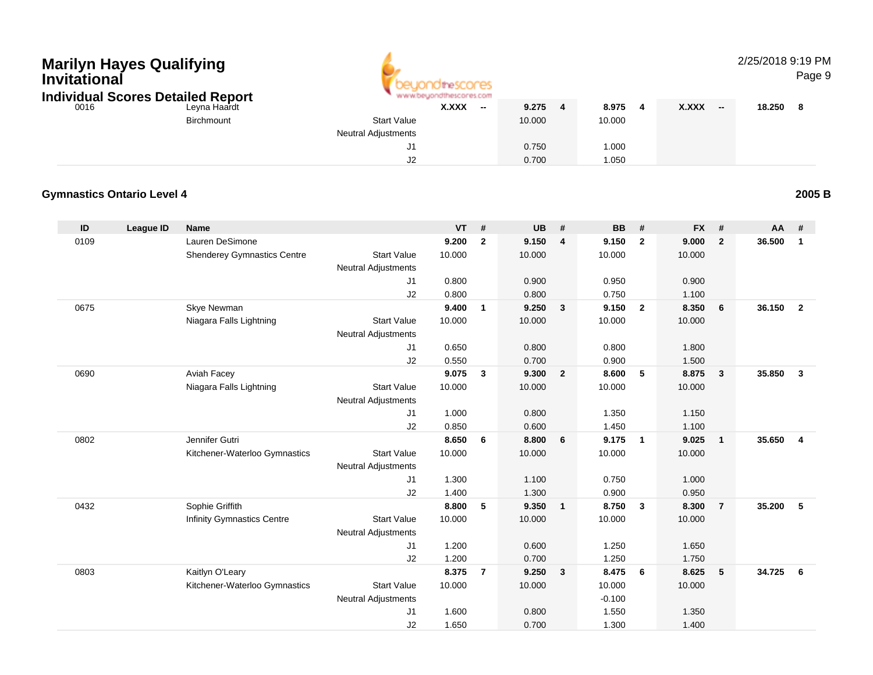| Invitational | <b>Marilyn Hayes Qualifying</b><br><b>Individual Scores Detailed Report</b> |                                    |                                                  | theSCOMES<br>hescores.com |                          |                 |                         |                 |                         |              |                          | 2/25/2018 9:19 PM | Page 9                  |
|--------------|-----------------------------------------------------------------------------|------------------------------------|--------------------------------------------------|---------------------------|--------------------------|-----------------|-------------------------|-----------------|-------------------------|--------------|--------------------------|-------------------|-------------------------|
| 0016         |                                                                             | Leyna Haardt<br><b>Birchmount</b>  | <b>Start Value</b><br><b>Neutral Adjustments</b> | X.XXX                     | $\overline{\phantom{a}}$ | 9.275<br>10.000 | 4                       | 8.975<br>10.000 | 4                       | <b>X.XXX</b> | $\overline{\phantom{a}}$ | 18.250            | 8                       |
|              |                                                                             |                                    | J1<br>J2                                         |                           |                          | 0.750<br>0.700  |                         | 1.000<br>1.050  |                         |              |                          |                   |                         |
|              | <b>Gymnastics Ontario Level 4</b>                                           |                                    |                                                  |                           |                          |                 |                         |                 |                         |              |                          |                   | 2005 B                  |
| ID           | <b>League ID</b>                                                            | <b>Name</b>                        |                                                  | VT                        | #                        | <b>UB</b>       | #                       | <b>BB</b>       | #                       | <b>FX</b>    | #                        | AA                | #                       |
| 0109         |                                                                             | Lauren DeSimone                    |                                                  | 9.200                     | $\overline{2}$           | 9.150           | 4                       | 9.150           | $\overline{2}$          | 9.000        | $\overline{2}$           | 36.500            | $\blacksquare$          |
|              |                                                                             | <b>Shenderey Gymnastics Centre</b> | <b>Start Value</b><br><b>Neutral Adjustments</b> | 10.000                    |                          | 10.000          |                         | 10.000          |                         | 10.000       |                          |                   |                         |
|              |                                                                             |                                    | J1                                               | 0.800                     |                          | 0.900           |                         | 0.950           |                         | 0.900        |                          |                   |                         |
|              |                                                                             |                                    | J2                                               | 0.800                     |                          | 0.800           |                         | 0.750           |                         | 1.100        |                          |                   |                         |
| 0675         |                                                                             | Skye Newman                        |                                                  | 9.400                     | $\mathbf{1}$             | 9.250           | $\mathbf{3}$            | 9.150           | $\overline{2}$          | 8.350        | 6                        | 36.150            | $\overline{\mathbf{2}}$ |
|              |                                                                             | Niagara Falls Lightning            | <b>Start Value</b><br><b>Neutral Adjustments</b> | 10.000                    |                          | 10.000          |                         | 10.000          |                         | 10.000       |                          |                   |                         |
|              |                                                                             |                                    | J1                                               | 0.650                     |                          | 0.800           |                         | 0.800           |                         | 1.800        |                          |                   |                         |
|              |                                                                             |                                    | J2                                               | 0.550                     |                          | 0.700           |                         | 0.900           |                         | 1.500        |                          |                   |                         |
| 0690         |                                                                             | Aviah Facey                        |                                                  | 9.075                     | $\mathbf{3}$             | 9.300           | $\overline{2}$          | 8.600           | 5                       | 8.875        | $\mathbf{3}$             | 35.850            | $\overline{\mathbf{3}}$ |
|              |                                                                             | Niagara Falls Lightning            | <b>Start Value</b><br><b>Neutral Adjustments</b> | 10.000                    |                          | 10.000          |                         | 10.000          |                         | 10.000       |                          |                   |                         |
|              |                                                                             |                                    | J1                                               | 1.000                     |                          | 0.800           |                         | 1.350           |                         | 1.150        |                          |                   |                         |
|              |                                                                             |                                    | J2                                               | 0.850                     |                          | 0.600           |                         | 1.450           |                         | 1.100        |                          |                   |                         |
| 0802         |                                                                             | Jennifer Gutri                     |                                                  | 8.650                     | 6                        | 8.800           | 6                       | 9.175           | $\overline{\mathbf{1}}$ | 9.025        | $\mathbf{1}$             | 35.650            | 4                       |
|              |                                                                             | Kitchener-Waterloo Gymnastics      | <b>Start Value</b><br><b>Neutral Adjustments</b> | 10.000                    |                          | 10.000          |                         | 10.000          |                         | 10.000       |                          |                   |                         |
|              |                                                                             |                                    | J1                                               | 1.300                     |                          | 1.100           |                         | 0.750           |                         | 1.000        |                          |                   |                         |
|              |                                                                             |                                    | J2                                               | 1.400                     |                          | 1.300           |                         | 0.900           |                         | 0.950        |                          |                   |                         |
| 0432         |                                                                             | Sophie Griffith                    |                                                  | 8.800                     | 5                        | 9.350           | $\mathbf{1}$            | 8.750           | $\mathbf{3}$            | 8.300        | $\overline{7}$           | 35.200            | $-5$                    |
|              |                                                                             | Infinity Gymnastics Centre         | <b>Start Value</b><br><b>Neutral Adjustments</b> | 10.000                    |                          | 10.000          |                         | 10.000          |                         | 10.000       |                          |                   |                         |
|              |                                                                             |                                    | J1                                               | 1.200                     |                          | 0.600           |                         | 1.250           |                         | 1.650        |                          |                   |                         |
|              |                                                                             |                                    | J <sub>2</sub>                                   | 1.200                     |                          | 0.700           |                         | 1.250           |                         | 1.750        |                          |                   |                         |
| 0803         |                                                                             | Kaitlyn O'Leary                    |                                                  | 8.375 7                   |                          | 9.250           | $\overline{\mathbf{3}}$ | 8.475 6         |                         | 8.625        | 5                        | 34.725 6          |                         |
|              |                                                                             | Kitchener-Waterloo Gymnastics      | <b>Start Value</b>                               | 10.000                    |                          | 10.000          |                         | 10.000          |                         | 10.000       |                          |                   |                         |
|              |                                                                             |                                    | <b>Neutral Adjustments</b>                       |                           |                          |                 |                         | $-0.100$        |                         |              |                          |                   |                         |
|              |                                                                             |                                    | J1                                               | 1.600                     |                          | 0.800           |                         | 1.550           |                         | 1.350        |                          |                   |                         |
|              |                                                                             |                                    | J2                                               | 1.650                     |                          | 0.700           |                         | 1.300           |                         | 1.400        |                          |                   |                         |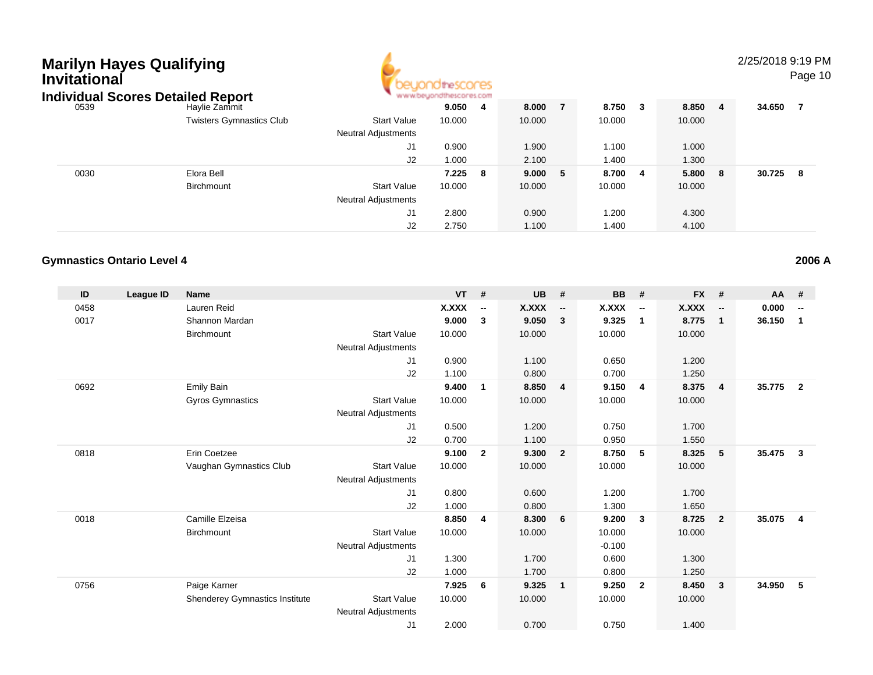| Marilyn Hayes Qualifying<br>Invitational | <b>Individual Scores Detailed Report</b> |                                                  | theSCOCES |     |        |   |        |     |         | 2/25/2018 9:19 PM | Page 10 |  |
|------------------------------------------|------------------------------------------|--------------------------------------------------|-----------|-----|--------|---|--------|-----|---------|-------------------|---------|--|
| 0539                                     | Haylie Zammit                            |                                                  | 9.050     | - 4 | 8.000  |   | 8.750  | - 3 | 8.850 4 | 34.650            | - 7     |  |
|                                          | <b>Twisters Gymnastics Club</b>          | <b>Start Value</b><br><b>Neutral Adjustments</b> | 10.000    |     | 10.000 |   | 10.000 |     | 10.000  |                   |         |  |
|                                          |                                          | J1                                               | 0.900     |     | 1.900  |   | 1.100  |     | 1.000   |                   |         |  |
|                                          |                                          | J2                                               | 1.000     |     | 2.100  |   | 1.400  |     | 1.300   |                   |         |  |
| 0030                                     | Elora Bell                               |                                                  | 7.225     | -8  | 9.000  | 5 | 8.700  | - 4 | 5.800 8 | 30.725            | - 8     |  |
|                                          | <b>Birchmount</b>                        | <b>Start Value</b>                               | 10.000    |     | 10.000 |   | 10.000 |     | 10.000  |                   |         |  |
|                                          |                                          | <b>Neutral Adjustments</b>                       |           |     |        |   |        |     |         |                   |         |  |
|                                          |                                          | J1                                               | 2.800     |     | 0.900  |   | 1.200  |     | 4.300   |                   |         |  |
|                                          |                                          | J2                                               | 2.750     |     | 1.100  |   | 1.400  |     | 4.100   |                   |         |  |

2.750 1.100 1.400 4.100

### **Gymnastics Ontario Level 4**

| ID   | League ID | <b>Name</b>                           |                            | <b>VT</b>    | #                        | <b>UB</b> | #                        | <b>BB</b> | #                        | <b>FX</b> | #                        | <b>AA</b> | #                        |
|------|-----------|---------------------------------------|----------------------------|--------------|--------------------------|-----------|--------------------------|-----------|--------------------------|-----------|--------------------------|-----------|--------------------------|
| 0458 |           | Lauren Reid                           |                            | <b>X.XXX</b> | $\overline{\phantom{a}}$ | X.XXX     | $\overline{\phantom{a}}$ | X.XXX     | $\overline{\phantom{a}}$ | X.XXX     | $\overline{\phantom{a}}$ | 0.000     | $\overline{\phantom{a}}$ |
| 0017 |           | Shannon Mardan                        |                            | 9.000        | 3                        | 9.050     | $\mathbf{3}$             | 9.325     | $\mathbf{1}$             | 8.775     | $\mathbf{1}$             | 36.150    | 1                        |
|      |           | Birchmount                            | <b>Start Value</b>         | 10.000       |                          | 10.000    |                          | 10.000    |                          | 10.000    |                          |           |                          |
|      |           |                                       | Neutral Adjustments        |              |                          |           |                          |           |                          |           |                          |           |                          |
|      |           |                                       | J1                         | 0.900        |                          | 1.100     |                          | 0.650     |                          | 1.200     |                          |           |                          |
|      |           |                                       | J2                         | 1.100        |                          | 0.800     |                          | 0.700     |                          | 1.250     |                          |           |                          |
| 0692 |           | <b>Emily Bain</b>                     |                            | 9.400        | 1                        | 8.850     | $\overline{4}$           | 9.150     | -4                       | 8.375     | $\overline{4}$           | 35.775    | $\overline{2}$           |
|      |           | Gyros Gymnastics                      | <b>Start Value</b>         | 10.000       |                          | 10.000    |                          | 10.000    |                          | 10.000    |                          |           |                          |
|      |           |                                       | Neutral Adjustments        |              |                          |           |                          |           |                          |           |                          |           |                          |
|      |           |                                       | J1                         | 0.500        |                          | 1.200     |                          | 0.750     |                          | 1.700     |                          |           |                          |
|      |           |                                       | J2                         | 0.700        |                          | 1.100     |                          | 0.950     |                          | 1.550     |                          |           |                          |
| 0818 |           | Erin Coetzee                          |                            | 9.100        | $\overline{2}$           | 9.300     | $\overline{2}$           | 8.750     | 5                        | 8.325     | 5                        | 35.475    | 3                        |
|      |           | Vaughan Gymnastics Club               | <b>Start Value</b>         | 10.000       |                          | 10.000    |                          | 10.000    |                          | 10.000    |                          |           |                          |
|      |           |                                       | <b>Neutral Adjustments</b> |              |                          |           |                          |           |                          |           |                          |           |                          |
|      |           |                                       | J1                         | 0.800        |                          | 0.600     |                          | 1.200     |                          | 1.700     |                          |           |                          |
|      |           |                                       | J <sub>2</sub>             | 1.000        |                          | 0.800     |                          | 1.300     |                          | 1.650     |                          |           |                          |
| 0018 |           | Camille Elzeisa                       |                            | 8.850        | $\overline{4}$           | 8.300     | 6                        | 9.200     | $\mathbf{3}$             | 8.725     | $\overline{2}$           | 35.075    | $\overline{\mathbf{4}}$  |
|      |           | Birchmount                            | <b>Start Value</b>         | 10.000       |                          | 10.000    |                          | 10.000    |                          | 10.000    |                          |           |                          |
|      |           |                                       | Neutral Adjustments        |              |                          |           |                          | $-0.100$  |                          |           |                          |           |                          |
|      |           |                                       | J1                         | 1.300        |                          | 1.700     |                          | 0.600     |                          | 1.300     |                          |           |                          |
|      |           |                                       | J2                         | 1.000        |                          | 1.700     |                          | 0.800     |                          | 1.250     |                          |           |                          |
| 0756 |           | Paige Karner                          |                            | 7.925        | 6                        | 9.325     | $\overline{\mathbf{1}}$  | 9.250     | $\overline{2}$           | 8.450     | $\mathbf{3}$             | 34.950    | 5                        |
|      |           | <b>Shenderey Gymnastics Institute</b> | <b>Start Value</b>         | 10.000       |                          | 10.000    |                          | 10.000    |                          | 10.000    |                          |           |                          |
|      |           |                                       | <b>Neutral Adjustments</b> |              |                          |           |                          |           |                          |           |                          |           |                          |
|      |           |                                       | J <sub>1</sub>             | 2.000        |                          | 0.700     |                          | 0.750     |                          | 1.400     |                          |           |                          |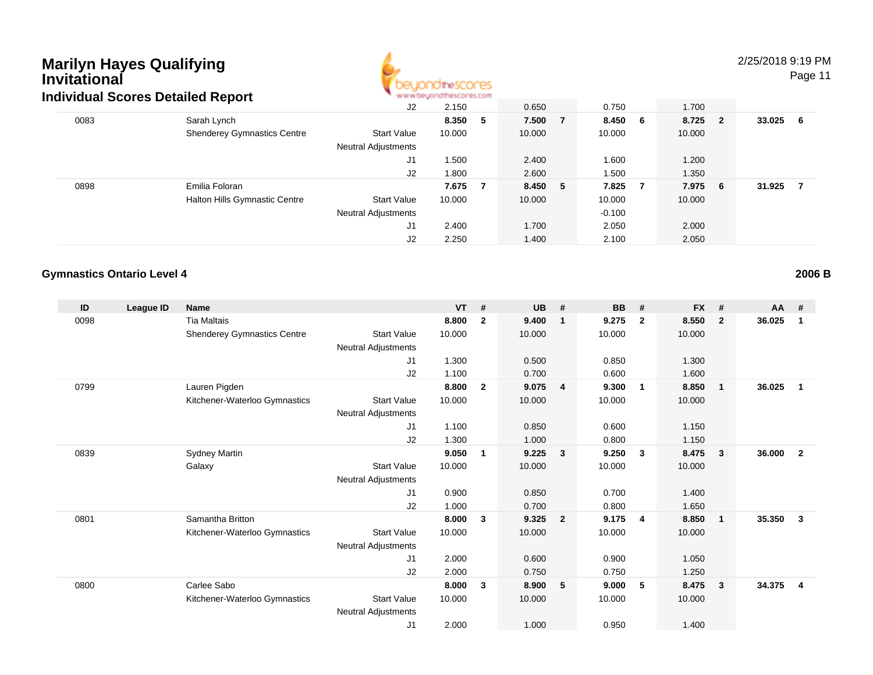

#### 2/25/2018 9:19 PM

Page 11

|      | dividual Scores Detailed Report    |                            | All All Alcohologing sold sections in the month |     |         |          |         |        |     |
|------|------------------------------------|----------------------------|-------------------------------------------------|-----|---------|----------|---------|--------|-----|
|      |                                    | J2                         | 2.150                                           |     | 0.650   | 0.750    | 1.700   |        |     |
| 0083 | Sarah Lynch                        |                            | 8.350 5                                         |     | 7.500 7 | 8.450 6  | 8.725 2 | 33.025 | - 6 |
|      | <b>Shenderey Gymnastics Centre</b> | <b>Start Value</b>         | 10.000                                          |     | 10.000  | 10.000   | 10.000  |        |     |
|      |                                    | <b>Neutral Adjustments</b> |                                                 |     |         |          |         |        |     |
|      |                                    | J1                         | 1.500                                           |     | 2.400   | 1.600    | 1.200   |        |     |
|      |                                    | J2                         | 1.800                                           |     | 2.600   | 1.500    | 1.350   |        |     |
| 0898 | Emilia Foloran                     |                            | 7.675                                           | - 7 | 8.450 5 | 7.825 7  | 7.975 6 | 31.925 | - 7 |
|      | Halton Hills Gymnastic Centre      | <b>Start Value</b>         | 10.000                                          |     | 10.000  | 10.000   | 10.000  |        |     |
|      |                                    | <b>Neutral Adjustments</b> |                                                 |     |         | $-0.100$ |         |        |     |
|      |                                    | J1                         | 2.400                                           |     | 1.700   | 2.050    | 2.000   |        |     |
|      |                                    | J2                         | 2.250                                           |     | 1.400   | 2.100    | 2.050   |        |     |

#### **Gymnastics Ontario Level 4**

**ID League ID Name VT # UB # BB # FX # AA #** 0098 Tia Maltais **8.800 <sup>2</sup> 9.400 <sup>1</sup> 9.275 <sup>2</sup> 8.550 <sup>2</sup> 36.025 <sup>1</sup>** Shenderey Gymnastics Centre Start Value 10.000 10.000 10.000 10.000 Neutral Adjustments J1 1.300 0.500 0.850 1.300 J2 1.100 0.700 0.600 1.600 0799 Lauren Pigden **8.800 <sup>2</sup> 9.075 <sup>4</sup> 9.300 <sup>1</sup> 8.850 <sup>1</sup> 36.025 <sup>1</sup>** Kitchener-Waterloo Gymnastics Start Valuee 10.000 10.000 10.000 10.000 Neutral Adjustments J1 1.100 0.850 0.600 1.150 J2 1.300 1.000 0.800 1.150 0839 Sydney Martin **9.050 <sup>1</sup> 9.225 <sup>3</sup> 9.250 <sup>3</sup> 8.475 <sup>3</sup> 36.000 <sup>2</sup>** Galaxy Start Valuee 10.000 10.000 10.000 10.000 Neutral Adjustments J1 0.900 0.850 0.700 1.400 J2 1.000 0.700 0.800 1.650 0801 Samantha Britton **8.000 <sup>3</sup> 9.325 <sup>2</sup> 9.175 <sup>4</sup> 8.850 <sup>1</sup> 35.350 <sup>3</sup>** Kitchener-Waterloo Gymnastics Start Valuee 10.000 10.000 10.000 10.000 Neutral Adjustments J1 2.000 0.600 0.900 1.050 J2 2.000 0.750 0.750 1.250 0800 Carlee Sabo **8.000 <sup>3</sup> 8.900 <sup>5</sup> 9.000 <sup>5</sup> 8.475 <sup>3</sup> 34.375 <sup>4</sup>** Kitchener-Waterloo Gymnastics Start Valuee 10.000 10.000 10.000 10.000 Neutral Adjustments J12.000 1.000 0.950 1.400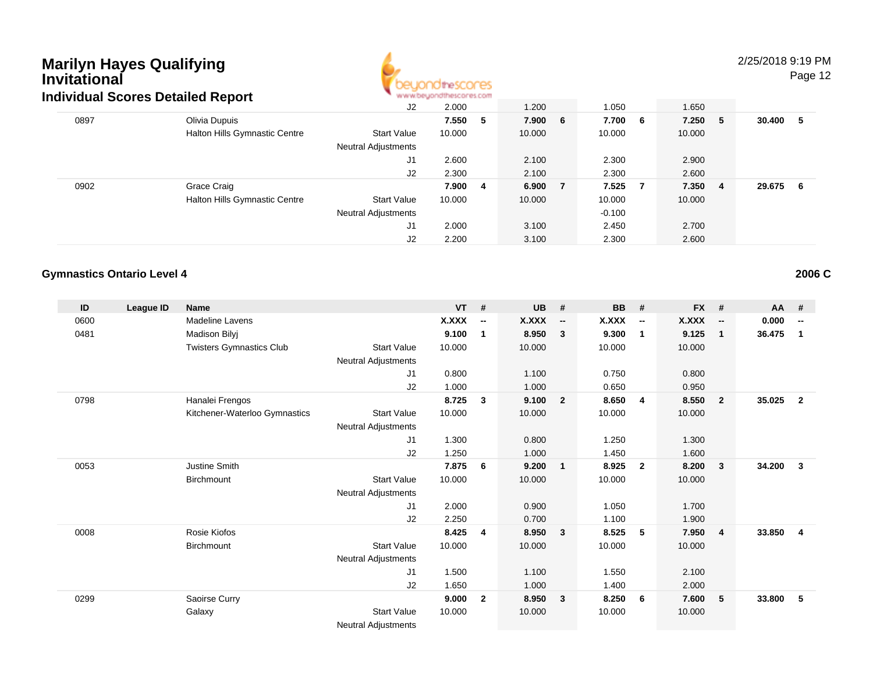

### 2/25/2018 9:19 PM

Page 12

|      | idividual Scores Detailed Report |                            | <b>MAIL MONDAY IS IN MONDAY AS COULD</b> |    |         |     |          |         |                |        |     |
|------|----------------------------------|----------------------------|------------------------------------------|----|---------|-----|----------|---------|----------------|--------|-----|
|      |                                  | J2                         | 2.000                                    |    | 1.200   |     | 1.050    | 1.650   |                |        |     |
| 0897 | Olivia Dupuis                    |                            | 7.550                                    | -5 | 7.900 6 |     | 7.700 6  | 7.250 5 |                | 30.400 | - 5 |
|      | Halton Hills Gymnastic Centre    | <b>Start Value</b>         | 10.000                                   |    | 10.000  |     | 10.000   | 10.000  |                |        |     |
|      |                                  | <b>Neutral Adjustments</b> |                                          |    |         |     |          |         |                |        |     |
|      |                                  | J1                         | 2.600                                    |    | 2.100   |     | 2.300    | 2.900   |                |        |     |
|      |                                  | J2                         | 2.300                                    |    | 2.100   |     | 2.300    | 2.600   |                |        |     |
| 0902 | Grace Craig                      |                            | 7.900                                    | 4  | 6.900   | - 7 | 7.525 7  | 7.350   | $\overline{4}$ | 29.675 | - 6 |
|      | Halton Hills Gymnastic Centre    | <b>Start Value</b>         | 10.000                                   |    | 10.000  |     | 10.000   | 10.000  |                |        |     |
|      |                                  | <b>Neutral Adjustments</b> |                                          |    |         |     | $-0.100$ |         |                |        |     |
|      |                                  | J1                         | 2.000                                    |    | 3.100   |     | 2.450    | 2.700   |                |        |     |
|      |                                  | J2                         | 2.200                                    |    | 3.100   |     | 2.300    | 2.600   |                |        |     |

#### **Gymnastics Ontario Level 4**

**ID League ID Name VT # UB # BB # FX # AA #** 0600Madeline Lavens **X.XXX**<br>Madison Bilvi **X.XXX**<br>9.100 **-- X.XXX -- X.XXX -- X.XXX -- 0.000 --** 0481 Madison Bilyj **9.100 <sup>1</sup> 8.950 <sup>3</sup> 9.300 <sup>1</sup> 9.125 <sup>1</sup> 36.475 <sup>1</sup>** Twisters Gymnastics Clubb 3tart Value 10.000 10.000 10.000 10.000 10.000 Neutral Adjustments J1 0.800 1.100 0.750 0.800 J2 1.000 1.000 0.650 0.950 0798 Hanalei Frengos **8.725 <sup>3</sup> 9.100 <sup>2</sup> 8.650 <sup>4</sup> 8.550 <sup>2</sup> 35.025 <sup>2</sup>** Kitchener-Waterloo Gymnastics Start Valuee 10.000 10.000 10.000 10.000 Neutral Adjustments J1 1.300 0.800 1.250 1.300 J2 1.250 1.000 1.450 1.600 0053 Justine Smith **7.875 <sup>6</sup> 9.200 <sup>1</sup> 8.925 <sup>2</sup> 8.200 <sup>3</sup> 34.200 <sup>3</sup> Birchmount**  Start Valuee 10.000 10.000 10.000 10.000 Neutral Adjustments J1 2.000 0.900 1.050 1.700 J2 2.250 0.700 1.100 1.900 0008 Rosie Kiofos **8.425 <sup>4</sup> 8.950 <sup>3</sup> 8.525 <sup>5</sup> 7.950 <sup>4</sup> 33.850 <sup>4</sup> Birchmount**  Start Valuee 10.000 10.000 10.000 10.000 Neutral Adjustments J1 1.500 1.100 1.550 2.100 J2 1.650 1.000 1.400 2.000 0299 Saoirse Curry **9.000 <sup>2</sup> 8.950 <sup>3</sup> 8.250 <sup>6</sup> 7.600 <sup>5</sup> 33.800 <sup>5</sup>** Galaxy Start Valuee 10.000 10.000 10.000 10.000 Neutral Adjustments

**2006 C**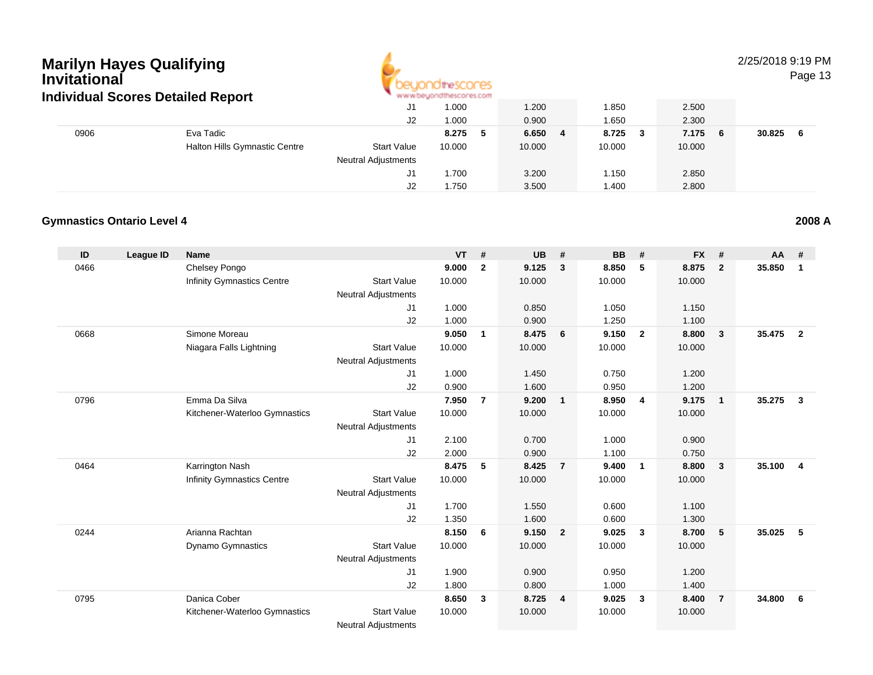

2/25/2018 9:19 PM

Page 13

|      | ndividual Scores Detailed Report     |                     | " www.beyondthescores.com |            |         |              |        |   |
|------|--------------------------------------|---------------------|---------------------------|------------|---------|--------------|--------|---|
|      |                                      | J1                  | 1.000                     | 1.200      | .850    | 2.500        |        |   |
|      |                                      | J2                  | 1.000                     | 0.900      | .650    | 2.300        |        |   |
| 0906 | Eva Tadic                            |                     | 8.275<br>-5               | 6.650<br>4 | 8.725 3 | 7.175<br>- 6 | 30.825 | 6 |
|      | <b>Halton Hills Gymnastic Centre</b> | <b>Start Value</b>  | 10.000                    | 10.000     | 10.000  | 10.000       |        |   |
|      |                                      | Neutral Adjustments |                           |            |         |              |        |   |
|      |                                      | J1                  | 1.700                     | 3.200      | 1.150   | 2.850        |        |   |
|      |                                      | J2                  | 1.750                     | 3.500      | 1.400   | 2.800        |        |   |

#### **Gymnastics Ontario Level 42008 A**

| ID   | League ID | <b>Name</b>                       |                            | <b>VT</b> | #              | <b>UB</b> | #                | <b>BB</b> | #                       | <b>FX</b> | #              | AA     | #              |
|------|-----------|-----------------------------------|----------------------------|-----------|----------------|-----------|------------------|-----------|-------------------------|-----------|----------------|--------|----------------|
| 0466 |           | Chelsey Pongo                     |                            | 9.000     | $\mathbf{2}$   | 9.125     | $\mathbf{3}$     | 8.850     | 5                       | 8.875     | $\overline{2}$ | 35.850 | $\mathbf{1}$   |
|      |           | <b>Infinity Gymnastics Centre</b> | <b>Start Value</b>         | 10.000    |                | 10.000    |                  | 10.000    |                         | 10.000    |                |        |                |
|      |           |                                   | <b>Neutral Adjustments</b> |           |                |           |                  |           |                         |           |                |        |                |
|      |           |                                   | J <sub>1</sub>             | 1.000     |                | 0.850     |                  | 1.050     |                         | 1.150     |                |        |                |
|      |           |                                   | J2                         | 1.000     |                | 0.900     |                  | 1.250     |                         | 1.100     |                |        |                |
| 0668 |           | Simone Moreau                     |                            | 9.050     | $\mathbf{1}$   | 8.475     | $6\phantom{.0}6$ | 9.150     | $\overline{2}$          | 8.800     | $\mathbf{3}$   | 35.475 | $\overline{2}$ |
|      |           | Niagara Falls Lightning           | <b>Start Value</b>         | 10.000    |                | 10.000    |                  | 10.000    |                         | 10.000    |                |        |                |
|      |           |                                   | <b>Neutral Adjustments</b> |           |                |           |                  |           |                         |           |                |        |                |
|      |           |                                   | J1                         | 1.000     |                | 1.450     |                  | 0.750     |                         | 1.200     |                |        |                |
|      |           |                                   | J2                         | 0.900     |                | 1.600     |                  | 0.950     |                         | 1.200     |                |        |                |
| 0796 |           | Emma Da Silva                     |                            | 7.950     | $\overline{7}$ | 9.200     | $\overline{1}$   | 8.950     | $\overline{4}$          | 9.175     | $\overline{1}$ | 35.275 | $\mathbf{3}$   |
|      |           | Kitchener-Waterloo Gymnastics     | <b>Start Value</b>         | 10.000    |                | 10.000    |                  | 10.000    |                         | 10.000    |                |        |                |
|      |           |                                   | <b>Neutral Adjustments</b> |           |                |           |                  |           |                         |           |                |        |                |
|      |           |                                   | J1                         | 2.100     |                | 0.700     |                  | 1.000     |                         | 0.900     |                |        |                |
|      |           |                                   | J <sub>2</sub>             | 2.000     |                | 0.900     |                  | 1.100     |                         | 0.750     |                |        |                |
| 0464 |           | Karrington Nash                   |                            | 8.475     | 5              | 8.425     | $\overline{7}$   | 9.400     | $\overline{1}$          | 8.800     | $\mathbf{3}$   | 35.100 | $\overline{4}$ |
|      |           | <b>Infinity Gymnastics Centre</b> | <b>Start Value</b>         | 10.000    |                | 10.000    |                  | 10.000    |                         | 10.000    |                |        |                |
|      |           |                                   | <b>Neutral Adjustments</b> |           |                |           |                  |           |                         |           |                |        |                |
|      |           |                                   | J <sub>1</sub>             | 1.700     |                | 1.550     |                  | 0.600     |                         | 1.100     |                |        |                |
|      |           |                                   | J2                         | 1.350     |                | 1.600     |                  | 0.600     |                         | 1.300     |                |        |                |
| 0244 |           | Arianna Rachtan                   |                            | 8.150     | 6              | 9.150     | $\overline{2}$   | 9.025     | $\overline{\mathbf{3}}$ | 8.700     | 5              | 35.025 | 5              |
|      |           | <b>Dynamo Gymnastics</b>          | <b>Start Value</b>         | 10.000    |                | 10.000    |                  | 10.000    |                         | 10.000    |                |        |                |
|      |           |                                   | <b>Neutral Adjustments</b> |           |                |           |                  |           |                         |           |                |        |                |
|      |           |                                   | J1                         | 1.900     |                | 0.900     |                  | 0.950     |                         | 1.200     |                |        |                |
|      |           |                                   | J <sub>2</sub>             | 1.800     |                | 0.800     |                  | 1.000     |                         | 1.400     |                |        |                |
| 0795 |           | Danica Cober                      |                            | 8.650     | 3              | 8.725     | $\overline{4}$   | 9.025     | $\mathbf{3}$            | 8.400     | $\overline{7}$ | 34.800 | 6              |
|      |           | Kitchener-Waterloo Gymnastics     | <b>Start Value</b>         | 10.000    |                | 10.000    |                  | 10.000    |                         | 10.000    |                |        |                |
|      |           |                                   | Network Additional and a   |           |                |           |                  |           |                         |           |                |        |                |

Neutral Adjustments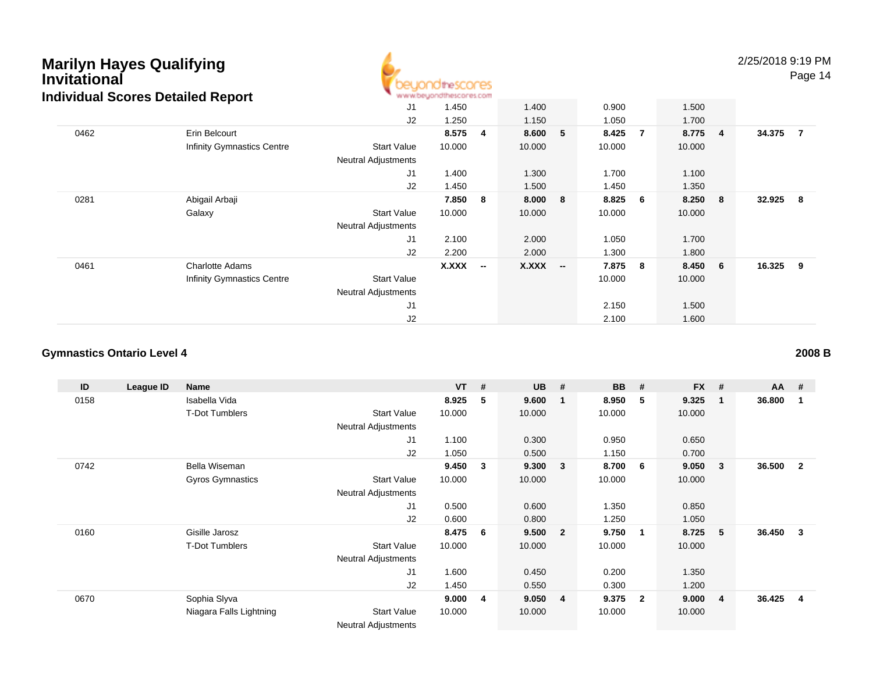

2/25/2018 9:19 PM

Page 14

|      |                                   | J <sub>1</sub>             | 1.450  |                          | 1.400  |                          | 0.900  |     | 1.500   |                         |          |                |
|------|-----------------------------------|----------------------------|--------|--------------------------|--------|--------------------------|--------|-----|---------|-------------------------|----------|----------------|
|      |                                   | J <sub>2</sub>             | 1.250  |                          | 1.150  |                          | 1.050  |     | 1.700   |                         |          |                |
| 0462 | Erin Belcourt                     |                            | 8.575  | 4                        | 8.600  | 5                        | 8.425  | 7   | 8.775 4 |                         | 34.375   | $\overline{7}$ |
|      | <b>Infinity Gymnastics Centre</b> | <b>Start Value</b>         | 10.000 |                          | 10.000 |                          | 10.000 |     | 10.000  |                         |          |                |
|      |                                   | <b>Neutral Adjustments</b> |        |                          |        |                          |        |     |         |                         |          |                |
|      |                                   | J <sub>1</sub>             | 1.400  |                          | 1.300  |                          | 1.700  |     | 1.100   |                         |          |                |
|      |                                   | J <sub>2</sub>             | 1.450  |                          | 1.500  |                          | 1.450  |     | 1.350   |                         |          |                |
| 0281 | Abigail Arbaji                    |                            | 7.850  | 8                        | 8.000  | 8                        | 8.825  | 6   | 8.250   | $\overline{\mathbf{8}}$ | 32.925 8 |                |
|      | Galaxy                            | <b>Start Value</b>         | 10.000 |                          | 10.000 |                          | 10.000 |     | 10.000  |                         |          |                |
|      |                                   | <b>Neutral Adjustments</b> |        |                          |        |                          |        |     |         |                         |          |                |
|      |                                   | J <sub>1</sub>             | 2.100  |                          | 2.000  |                          | 1.050  |     | 1.700   |                         |          |                |
|      |                                   | J <sub>2</sub>             | 2.200  |                          | 2.000  |                          | 1.300  |     | 1.800   |                         |          |                |
| 0461 | <b>Charlotte Adams</b>            |                            | X.XXX  | $\overline{\phantom{a}}$ | X.XXX  | $\overline{\phantom{a}}$ | 7.875  | - 8 | 8.450   | $6\overline{6}$         | 16.325 9 |                |
|      | <b>Infinity Gymnastics Centre</b> | <b>Start Value</b>         |        |                          |        |                          | 10.000 |     | 10.000  |                         |          |                |
|      |                                   | <b>Neutral Adjustments</b> |        |                          |        |                          |        |     |         |                         |          |                |
|      |                                   | J <sub>1</sub>             |        |                          |        |                          | 2.150  |     | 1.500   |                         |          |                |
|      |                                   | J2                         |        |                          |        |                          | 2.100  |     | 1.600   |                         |          |                |

## **Gymnastics Ontario Level 4**

| ID   | League ID | Name                    |                            | <b>VT</b> | #  | <b>UB</b> | #                       | <b>BB</b> | #              | <b>FX</b> | #           | $AA$ # |                |
|------|-----------|-------------------------|----------------------------|-----------|----|-----------|-------------------------|-----------|----------------|-----------|-------------|--------|----------------|
| 0158 |           | Isabella Vida           |                            | 8.925     | 5  | 9.600     | $\overline{\mathbf{1}}$ | 8.950     | 5              | 9.325     | $\mathbf 1$ | 36.800 | 1              |
|      |           | <b>T-Dot Tumblers</b>   | <b>Start Value</b>         | 10.000    |    | 10.000    |                         | 10.000    |                | 10.000    |             |        |                |
|      |           |                         | <b>Neutral Adjustments</b> |           |    |           |                         |           |                |           |             |        |                |
|      |           |                         | J1                         | 1.100     |    | 0.300     |                         | 0.950     |                | 0.650     |             |        |                |
|      |           |                         | J2                         | 1.050     |    | 0.500     |                         | 1.150     |                | 0.700     |             |        |                |
| 0742 |           | Bella Wiseman           |                            | 9.450     | 3  | 9.300     | $\mathbf{3}$            | 8.700     | - 6            | 9.050     | 3           | 36.500 | $\overline{2}$ |
|      |           | <b>Gyros Gymnastics</b> | <b>Start Value</b>         | 10.000    |    | 10.000    |                         | 10.000    |                | 10.000    |             |        |                |
|      |           |                         | <b>Neutral Adjustments</b> |           |    |           |                         |           |                |           |             |        |                |
|      |           |                         | J1                         | 0.500     |    | 0.600     |                         | 1.350     |                | 0.850     |             |        |                |
|      |           |                         | J2                         | 0.600     |    | 0.800     |                         | 1.250     |                | 1.050     |             |        |                |
| 0160 |           | Gisille Jarosz          |                            | 8.475     | 6  | 9.500     | $\overline{\mathbf{2}}$ | 9.750     | -1             | 8.725     | 5           | 36.450 | 3              |
|      |           | <b>T-Dot Tumblers</b>   | <b>Start Value</b>         | 10.000    |    | 10.000    |                         | 10.000    |                | 10.000    |             |        |                |
|      |           |                         | <b>Neutral Adjustments</b> |           |    |           |                         |           |                |           |             |        |                |
|      |           |                         | J1                         | 1.600     |    | 0.450     |                         | 0.200     |                | 1.350     |             |        |                |
|      |           |                         | J2                         | 1.450     |    | 0.550     |                         | 0.300     |                | 1.200     |             |        |                |
| 0670 |           | Sophia Slyva            |                            | 9.000     | -4 | 9.050     | $\overline{4}$          | 9.375     | $\overline{2}$ | 9.000     | 4           | 36.425 | 4              |
|      |           | Niagara Falls Lightning | <b>Start Value</b>         | 10.000    |    | 10.000    |                         | 10.000    |                | 10.000    |             |        |                |
|      |           |                         | <b>Neutral Adjustments</b> |           |    |           |                         |           |                |           |             |        |                |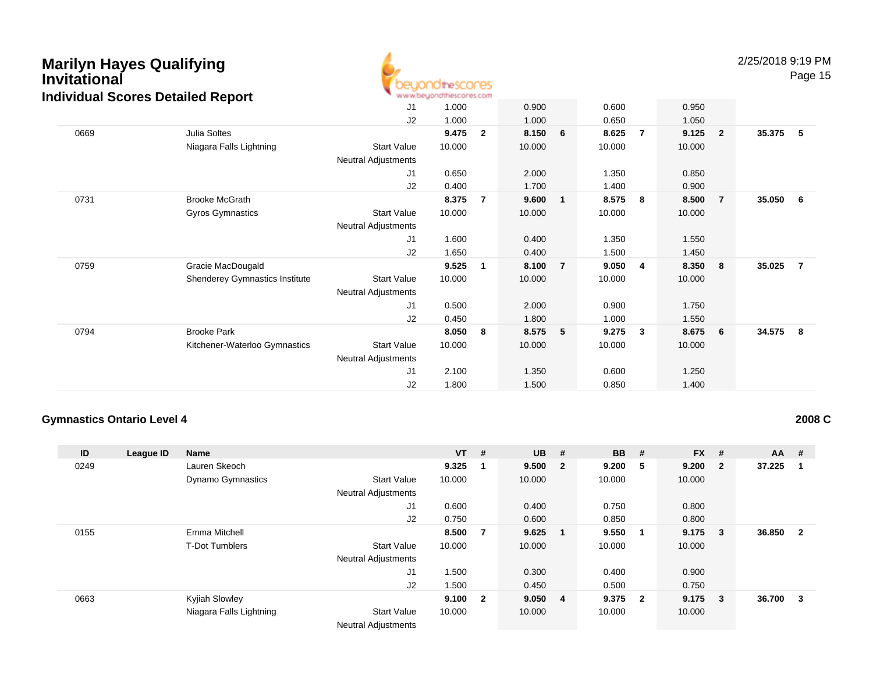

2/25/2018 9:19 PM

Page 15

|      |                                       | J <sub>1</sub>             | 1.000  |              | 0.900  |                | 0.600  |   | 0.950  |                |        |                |
|------|---------------------------------------|----------------------------|--------|--------------|--------|----------------|--------|---|--------|----------------|--------|----------------|
|      |                                       | J2                         | 1.000  |              | 1.000  |                | 0.650  |   | 1.050  |                |        |                |
| 0669 | Julia Soltes                          |                            | 9.475  | $\mathbf{2}$ | 8.150  | 6              | 8.625  | 7 | 9.125  | $\overline{2}$ | 35.375 | 5              |
|      | Niagara Falls Lightning               | <b>Start Value</b>         | 10.000 |              | 10.000 |                | 10.000 |   | 10.000 |                |        |                |
|      |                                       | <b>Neutral Adjustments</b> |        |              |        |                |        |   |        |                |        |                |
|      |                                       | J <sub>1</sub>             | 0.650  |              | 2.000  |                | 1.350  |   | 0.850  |                |        |                |
|      |                                       | J2                         | 0.400  |              | 1.700  |                | 1.400  |   | 0.900  |                |        |                |
| 0731 | <b>Brooke McGrath</b>                 |                            | 8.375  | 7            | 9.600  | $\mathbf{1}$   | 8.575  | 8 | 8.500  | $\overline{7}$ | 35.050 | 6              |
|      | <b>Gyros Gymnastics</b>               | <b>Start Value</b>         | 10.000 |              | 10.000 |                | 10.000 |   | 10.000 |                |        |                |
|      |                                       | <b>Neutral Adjustments</b> |        |              |        |                |        |   |        |                |        |                |
|      |                                       | J <sub>1</sub>             | 1.600  |              | 0.400  |                | 1.350  |   | 1.550  |                |        |                |
|      |                                       | J2                         | 1.650  |              | 0.400  |                | 1.500  |   | 1.450  |                |        |                |
| 0759 | Gracie MacDougald                     |                            | 9.525  | 1            | 8.100  | $\overline{7}$ | 9.050  | 4 | 8.350  | 8              | 35.025 | $\overline{7}$ |
|      | <b>Shenderey Gymnastics Institute</b> | <b>Start Value</b>         | 10.000 |              | 10.000 |                | 10.000 |   | 10.000 |                |        |                |
|      |                                       | <b>Neutral Adjustments</b> |        |              |        |                |        |   |        |                |        |                |
|      |                                       | J <sub>1</sub>             | 0.500  |              | 2.000  |                | 0.900  |   | 1.750  |                |        |                |
|      |                                       | J2                         | 0.450  |              | 1.800  |                | 1.000  |   | 1.550  |                |        |                |
| 0794 | <b>Brooke Park</b>                    |                            | 8.050  | 8            | 8.575  | 5              | 9.275  | 3 | 8.675  | 6              | 34.575 | - 8            |
|      | Kitchener-Waterloo Gymnastics         | <b>Start Value</b>         | 10.000 |              | 10.000 |                | 10.000 |   | 10.000 |                |        |                |
|      |                                       | <b>Neutral Adjustments</b> |        |              |        |                |        |   |        |                |        |                |
|      |                                       | J1                         | 2.100  |              | 1.350  |                | 0.600  |   | 1.250  |                |        |                |
|      |                                       | J2                         | 1.800  |              | 1.500  |                | 0.850  |   | 1.400  |                |        |                |

### **Gymnastics Ontario Level 4**

**2008 C**

| ID   | League ID | <b>Name</b>              |                            | $VT$ # |              | <b>UB</b> | #                       | <b>BB</b> | #                       | <b>FX</b> | #                       | <b>AA</b> | #            |
|------|-----------|--------------------------|----------------------------|--------|--------------|-----------|-------------------------|-----------|-------------------------|-----------|-------------------------|-----------|--------------|
| 0249 |           | Lauren Skeoch            |                            | 9.325  | $\mathbf 1$  | 9.500     | $\overline{\mathbf{2}}$ | 9.200     | - 5                     | 9.200     | $\overline{\mathbf{2}}$ | 37.225    |              |
|      |           | <b>Dynamo Gymnastics</b> | <b>Start Value</b>         | 10.000 |              | 10.000    |                         | 10.000    |                         | 10.000    |                         |           |              |
|      |           |                          | <b>Neutral Adjustments</b> |        |              |           |                         |           |                         |           |                         |           |              |
|      |           |                          | J1                         | 0.600  |              | 0.400     |                         | 0.750     |                         | 0.800     |                         |           |              |
|      |           |                          | J2                         | 0.750  |              | 0.600     |                         | 0.850     |                         | 0.800     |                         |           |              |
| 0155 |           | Emma Mitchell            |                            | 8.500  | - 7          | 9.625     |                         | 9.550     | $\blacksquare$          | 9.175     | - 3                     | 36.850    | $\mathbf{2}$ |
|      |           | <b>T-Dot Tumblers</b>    | <b>Start Value</b>         | 10.000 |              | 10.000    |                         | 10.000    |                         | 10.000    |                         |           |              |
|      |           |                          | <b>Neutral Adjustments</b> |        |              |           |                         |           |                         |           |                         |           |              |
|      |           |                          | J1                         | 1.500  |              | 0.300     |                         | 0.400     |                         | 0.900     |                         |           |              |
|      |           |                          | J2                         | 1.500  |              | 0.450     |                         | 0.500     |                         | 0.750     |                         |           |              |
| 0663 |           | Kyjiah Slowley           |                            | 9.100  | $\mathbf{2}$ | 9.050 4   |                         | 9.375     | $\overline{\mathbf{2}}$ | 9.175     | $\overline{\mathbf{3}}$ | 36.700    | 3            |
|      |           | Niagara Falls Lightning  | <b>Start Value</b>         | 10.000 |              | 10.000    |                         | 10.000    |                         | 10.000    |                         |           |              |
|      |           |                          | <b>Neutral Adjustments</b> |        |              |           |                         |           |                         |           |                         |           |              |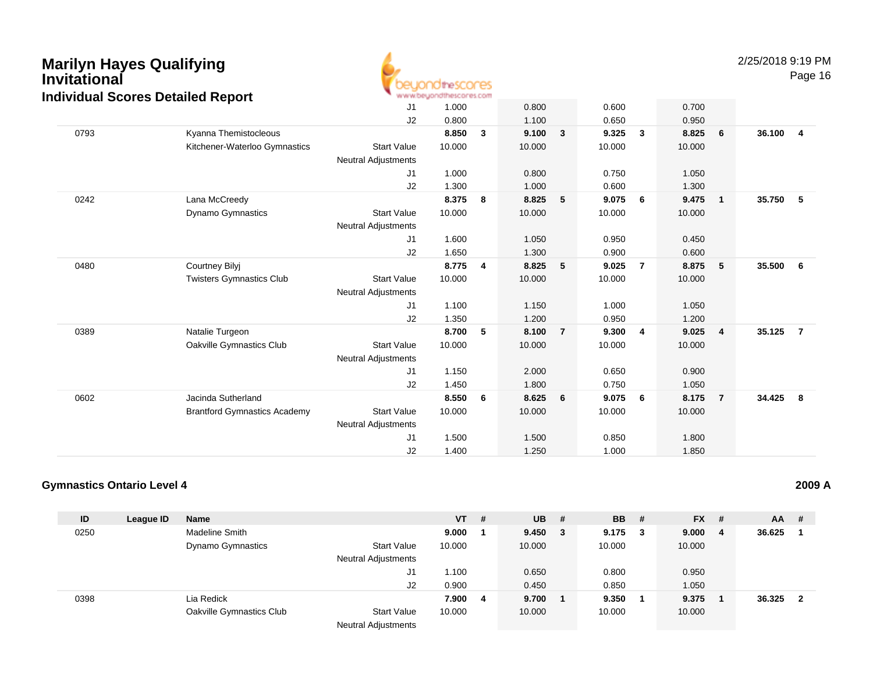

2/25/2018 9:19 PM

Page 16

|      | annada 000.00 Dolanoa Roport        | J1<br>J2                                         | 1.000<br>0.800 |                | 0.800<br>1.100 |                | 0.600<br>0.650 |                | 0.700<br>0.950 |                |        |                |
|------|-------------------------------------|--------------------------------------------------|----------------|----------------|----------------|----------------|----------------|----------------|----------------|----------------|--------|----------------|
| 0793 | Kyanna Themistocleous               |                                                  | 8.850          | 3              | 9.100          | $\mathbf{3}$   | 9.325          | $\mathbf{3}$   | 8.825          | 6              | 36.100 | $\overline{4}$ |
|      | Kitchener-Waterloo Gymnastics       | <b>Start Value</b><br>Neutral Adjustments        | 10.000         |                | 10.000         |                | 10.000         |                | 10.000         |                |        |                |
|      |                                     | J1                                               | 1.000          |                | 0.800          |                | 0.750          |                | 1.050          |                |        |                |
|      |                                     | J2                                               | 1.300          |                | 1.000          |                | 0.600          |                | 1.300          |                |        |                |
| 0242 | Lana McCreedy                       |                                                  | 8.375          | 8              | 8.825          | 5              | 9.075          | 6              | 9.475          | $\overline{1}$ | 35.750 | 5              |
|      | Dynamo Gymnastics                   | <b>Start Value</b><br><b>Neutral Adjustments</b> | 10.000         |                | 10.000         |                | 10.000         |                | 10.000         |                |        |                |
|      |                                     | J1                                               | 1.600          |                | 1.050          |                | 0.950          |                | 0.450          |                |        |                |
|      |                                     | J2                                               | 1.650          |                | 1.300          |                | 0.900          |                | 0.600          |                |        |                |
| 0480 | <b>Courtney Bilyj</b>               |                                                  | 8.775          | $\overline{4}$ | 8.825          | 5              | 9.025          | $\overline{7}$ | 8.875          | 5              | 35.500 | - 6            |
|      | <b>Twisters Gymnastics Club</b>     | <b>Start Value</b>                               | 10.000         |                | 10.000         |                | 10.000         |                | 10.000         |                |        |                |
|      |                                     | <b>Neutral Adjustments</b>                       |                |                |                |                |                |                |                |                |        |                |
|      |                                     | J <sub>1</sub>                                   | 1.100          |                | 1.150          |                | 1.000          |                | 1.050          |                |        |                |
|      |                                     | J2                                               | 1.350          |                | 1.200          |                | 0.950          |                | 1.200          |                |        |                |
| 0389 | Natalie Turgeon                     |                                                  | 8.700          | 5              | 8.100          | $\overline{7}$ | 9.300          | 4              | 9.025          | $\overline{4}$ | 35.125 | $\overline{7}$ |
|      | Oakville Gymnastics Club            | <b>Start Value</b><br>Neutral Adjustments        | 10.000         |                | 10.000         |                | 10.000         |                | 10.000         |                |        |                |
|      |                                     | J1                                               | 1.150          |                | 2.000          |                | 0.650          |                | 0.900          |                |        |                |
|      |                                     | J2                                               | 1.450          |                | 1.800          |                | 0.750          |                | 1.050          |                |        |                |
| 0602 | Jacinda Sutherland                  |                                                  | 8.550          | 6              | 8.625          | 6              | 9.075          | 6              | 8.175          | $\overline{7}$ | 34.425 | - 8            |
|      | <b>Brantford Gymnastics Academy</b> | <b>Start Value</b>                               | 10.000         |                | 10.000         |                | 10.000         |                | 10.000         |                |        |                |
|      |                                     | <b>Neutral Adjustments</b>                       |                |                |                |                |                |                |                |                |        |                |
|      |                                     | J <sub>1</sub>                                   | 1.500          |                | 1.500          |                | 0.850          |                | 1.800          |                |        |                |
|      |                                     | J2                                               | 1.400          |                | 1.250          |                | 1.000          |                | 1.850          |                |        |                |

### **Gymnastics Ontario Level 4**

| ID   | League ID | <b>Name</b>              |                            | <b>VT</b> | #  | $UB$ # |     | <b>BB</b> | - # | $FX$ # |     | AA     | -#                      |
|------|-----------|--------------------------|----------------------------|-----------|----|--------|-----|-----------|-----|--------|-----|--------|-------------------------|
| 0250 |           | <b>Madeline Smith</b>    |                            | 9.000     |    | 9.450  | - 3 | 9.175     | 3   | 9.000  | - 4 | 36.625 |                         |
|      |           | <b>Dynamo Gymnastics</b> | <b>Start Value</b>         | 10.000    |    | 10.000 |     | 10.000    |     | 10.000 |     |        |                         |
|      |           |                          | <b>Neutral Adjustments</b> |           |    |        |     |           |     |        |     |        |                         |
|      |           |                          | J1                         | 1.100     |    | 0.650  |     | 0.800     |     | 0.950  |     |        |                         |
|      |           |                          | J2                         | 0.900     |    | 0.450  |     | 0.850     |     | 1.050  |     |        |                         |
| 0398 |           | Lia Redick               |                            | 7.900     | -4 | 9.700  |     | 9.350     |     | 9.375  |     | 36.325 | $\overline{\mathbf{2}}$ |
|      |           | Oakville Gymnastics Club | <b>Start Value</b>         | 10.000    |    | 10.000 |     | 10.000    |     | 10.000 |     |        |                         |
|      |           |                          | <b>Neutral Adjustments</b> |           |    |        |     |           |     |        |     |        |                         |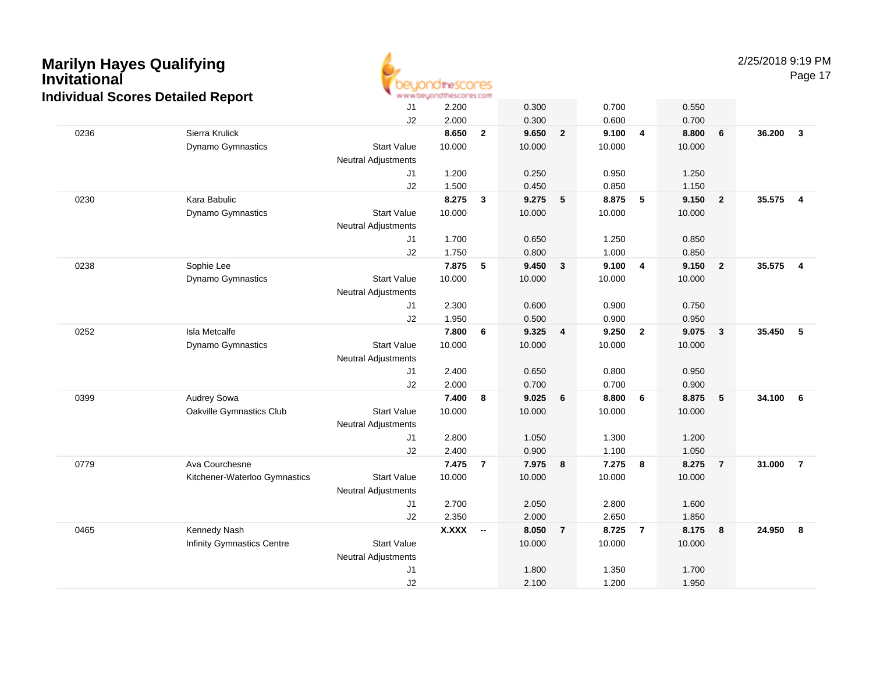

2/25/2018 9:19 PM

Page 17

|      | idividual Scores Detailed Report |                            | וואט היו ועראליו ועראי ועקריונים אירווי |                          |        |                |        |                |        |                         |        |                         |
|------|----------------------------------|----------------------------|-----------------------------------------|--------------------------|--------|----------------|--------|----------------|--------|-------------------------|--------|-------------------------|
|      |                                  | J1                         | 2.200                                   |                          | 0.300  |                | 0.700  |                | 0.550  |                         |        |                         |
|      |                                  | J2                         | 2.000                                   |                          | 0.300  |                | 0.600  |                | 0.700  |                         |        |                         |
| 0236 | Sierra Krulick                   |                            | 8.650                                   | $\mathbf{2}$             | 9.650  | $\overline{2}$ | 9.100  | $\overline{4}$ | 8.800  | 6                       | 36.200 | $\mathbf{3}$            |
|      | Dynamo Gymnastics                | <b>Start Value</b>         | 10.000                                  |                          | 10.000 |                | 10.000 |                | 10.000 |                         |        |                         |
|      |                                  | Neutral Adjustments        |                                         |                          |        |                |        |                |        |                         |        |                         |
|      |                                  | J1                         | 1.200                                   |                          | 0.250  |                | 0.950  |                | 1.250  |                         |        |                         |
|      |                                  | J2                         | 1.500                                   |                          | 0.450  |                | 0.850  |                | 1.150  |                         |        |                         |
| 0230 | Kara Babulic                     |                            | 8.275                                   | 3                        | 9.275  | 5              | 8.875  | 5              | 9.150  | $\overline{\mathbf{2}}$ | 35.575 | $\overline{4}$          |
|      | Dynamo Gymnastics                | <b>Start Value</b>         | 10.000                                  |                          | 10.000 |                | 10.000 |                | 10.000 |                         |        |                         |
|      |                                  | <b>Neutral Adjustments</b> |                                         |                          |        |                |        |                |        |                         |        |                         |
|      |                                  | J1                         | 1.700                                   |                          | 0.650  |                | 1.250  |                | 0.850  |                         |        |                         |
|      |                                  | J2                         | 1.750                                   |                          | 0.800  |                | 1.000  |                | 0.850  |                         |        |                         |
| 0238 | Sophie Lee                       |                            | 7.875                                   | 5                        | 9.450  | $\mathbf{3}$   | 9.100  | 4              | 9.150  | $\overline{\mathbf{2}}$ | 35.575 | $\overline{\mathbf{4}}$ |
|      | Dynamo Gymnastics                | <b>Start Value</b>         | 10.000                                  |                          | 10.000 |                | 10.000 |                | 10.000 |                         |        |                         |
|      |                                  | Neutral Adjustments        |                                         |                          |        |                |        |                |        |                         |        |                         |
|      |                                  | J1                         | 2.300                                   |                          | 0.600  |                | 0.900  |                | 0.750  |                         |        |                         |
|      |                                  | J2                         | 1.950                                   |                          | 0.500  |                | 0.900  |                | 0.950  |                         |        |                         |
| 0252 | Isla Metcalfe                    |                            | 7.800                                   | 6                        | 9.325  | 4              | 9.250  | $\overline{2}$ | 9.075  | $\mathbf{3}$            | 35.450 | 5                       |
|      | Dynamo Gymnastics                | <b>Start Value</b>         | 10.000                                  |                          | 10.000 |                | 10.000 |                | 10.000 |                         |        |                         |
|      |                                  | <b>Neutral Adjustments</b> |                                         |                          |        |                |        |                |        |                         |        |                         |
|      |                                  | J1                         | 2.400                                   |                          | 0.650  |                | 0.800  |                | 0.950  |                         |        |                         |
|      |                                  | J2                         | 2.000                                   |                          | 0.700  |                | 0.700  |                | 0.900  |                         |        |                         |
| 0399 | Audrey Sowa                      |                            | 7.400                                   | 8                        | 9.025  | 6              | 8.800  | 6              | 8.875  | $\sqrt{5}$              | 34.100 | $6\phantom{1}6$         |
|      | Oakville Gymnastics Club         | <b>Start Value</b>         | 10.000                                  |                          | 10.000 |                | 10.000 |                | 10.000 |                         |        |                         |
|      |                                  | Neutral Adjustments        |                                         |                          |        |                |        |                |        |                         |        |                         |
|      |                                  | J1                         | 2.800                                   |                          | 1.050  |                | 1.300  |                | 1.200  |                         |        |                         |
|      |                                  | J2                         | 2.400                                   |                          | 0.900  |                | 1.100  |                | 1.050  |                         |        |                         |
| 0779 | Ava Courchesne                   |                            | 7.475                                   | $\overline{7}$           | 7.975  | 8              | 7.275  | 8              | 8.275  | $\overline{7}$          | 31.000 | $\overline{7}$          |
|      | Kitchener-Waterloo Gymnastics    | <b>Start Value</b>         | 10.000                                  |                          | 10.000 |                | 10.000 |                | 10.000 |                         |        |                         |
|      |                                  | Neutral Adjustments        |                                         |                          |        |                |        |                |        |                         |        |                         |
|      |                                  | J1                         | 2.700                                   |                          | 2.050  |                | 2.800  |                | 1.600  |                         |        |                         |
|      |                                  | J2                         | 2.350                                   |                          | 2.000  |                | 2.650  |                | 1.850  |                         |        |                         |
| 0465 | Kennedy Nash                     |                            | <b>X.XXX</b>                            | $\overline{\phantom{a}}$ | 8.050  | $\overline{7}$ | 8.725  | $\overline{7}$ | 8.175  | $\overline{\mathbf{8}}$ | 24.950 | $\overline{\mathbf{8}}$ |
|      | Infinity Gymnastics Centre       | <b>Start Value</b>         |                                         |                          | 10.000 |                | 10.000 |                | 10.000 |                         |        |                         |
|      |                                  | Neutral Adjustments        |                                         |                          |        |                |        |                |        |                         |        |                         |
|      |                                  | J <sub>1</sub>             |                                         |                          | 1.800  |                | 1.350  |                | 1.700  |                         |        |                         |
|      |                                  | J2                         |                                         |                          | 2.100  |                | 1.200  |                | 1.950  |                         |        |                         |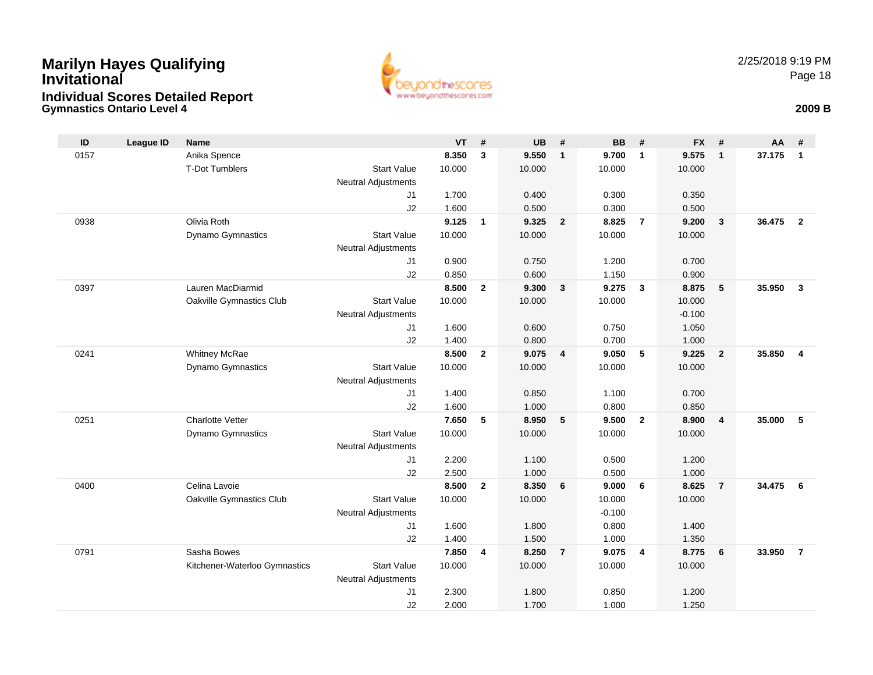## **Gymnastics Ontario Level 4 2009 BMarilyn Hayes Qualifying InvitationalIndividual Scores Detailed Report**



| ID   | <b>League ID</b> | <b>Name</b>                   |                            | <b>VT</b> | #              | <b>UB</b> | #                       | <b>BB</b>      | #                       | <b>FX</b> | #                       | AA     | #              |
|------|------------------|-------------------------------|----------------------------|-----------|----------------|-----------|-------------------------|----------------|-------------------------|-----------|-------------------------|--------|----------------|
| 0157 |                  | Anika Spence                  |                            | 8.350     | 3              | 9.550     | $\mathbf{1}$            | 9.700          | $\overline{1}$          | 9.575     | $\overline{1}$          | 37.175 | $\mathbf{1}$   |
|      |                  | <b>T-Dot Tumblers</b>         | <b>Start Value</b>         | 10.000    |                | 10.000    |                         | 10.000         |                         | 10.000    |                         |        |                |
|      |                  |                               | Neutral Adjustments        |           |                |           |                         |                |                         |           |                         |        |                |
|      |                  |                               | J <sub>1</sub>             | 1.700     |                | 0.400     |                         | 0.300          |                         | 0.350     |                         |        |                |
|      |                  |                               | J2                         | 1.600     |                | 0.500     |                         | 0.300          |                         | 0.500     |                         |        |                |
| 0938 |                  | Olivia Roth                   |                            | 9.125     | $\mathbf{1}$   | 9.325     | $\overline{2}$          | 8.825          | $\overline{7}$          | 9.200     | $\overline{\mathbf{3}}$ | 36.475 | $\overline{2}$ |
|      |                  | <b>Dynamo Gymnastics</b>      | <b>Start Value</b>         | 10.000    |                | 10.000    |                         | 10.000         |                         | 10.000    |                         |        |                |
|      |                  |                               | <b>Neutral Adjustments</b> |           |                |           |                         |                |                         |           |                         |        |                |
|      |                  |                               | J1                         | 0.900     |                | 0.750     |                         | 1.200          |                         | 0.700     |                         |        |                |
|      |                  |                               | J2                         | 0.850     |                | 0.600     |                         | 1.150          |                         | 0.900     |                         |        |                |
| 0397 |                  | Lauren MacDiarmid             |                            | 8.500     | $\overline{2}$ | 9.300     | 3                       | 9.275          | $\overline{\mathbf{3}}$ | 8.875     | 5                       | 35.950 | $\overline{3}$ |
|      |                  | Oakville Gymnastics Club      | <b>Start Value</b>         | 10.000    |                | 10.000    |                         | 10.000         |                         | 10.000    |                         |        |                |
|      |                  |                               | <b>Neutral Adjustments</b> |           |                |           |                         |                |                         | $-0.100$  |                         |        |                |
|      |                  |                               | J <sub>1</sub>             | 1.600     |                | 0.600     |                         | 0.750          |                         | 1.050     |                         |        |                |
|      |                  |                               | J <sub>2</sub>             | 1.400     |                | 0.800     |                         | 0.700          |                         | 1.000     |                         |        |                |
| 0241 |                  | <b>Whitney McRae</b>          |                            | 8.500     | $\overline{2}$ | 9.075     | $\overline{\mathbf{4}}$ | 9.050          | 5                       | 9.225     | $\overline{2}$          | 35.850 | $\overline{4}$ |
|      |                  | <b>Dynamo Gymnastics</b>      | <b>Start Value</b>         | 10.000    |                | 10.000    |                         | 10.000         |                         | 10.000    |                         |        |                |
|      |                  |                               | <b>Neutral Adjustments</b> | 1.400     |                | 0.850     |                         |                |                         | 0.700     |                         |        |                |
|      |                  |                               | J1<br>J <sub>2</sub>       | 1.600     |                | 1.000     |                         | 1.100<br>0.800 |                         | 0.850     |                         |        |                |
| 0251 |                  | <b>Charlotte Vetter</b>       |                            | 7.650     | 5              | 8.950     | 5                       | 9.500          | $\overline{2}$          | 8.900     | $\overline{4}$          | 35.000 | 5              |
|      |                  | <b>Dynamo Gymnastics</b>      | <b>Start Value</b>         | 10.000    |                | 10.000    |                         | 10.000         |                         | 10.000    |                         |        |                |
|      |                  |                               | Neutral Adjustments        |           |                |           |                         |                |                         |           |                         |        |                |
|      |                  |                               | J1                         | 2.200     |                | 1.100     |                         | 0.500          |                         | 1.200     |                         |        |                |
|      |                  |                               | J2                         | 2.500     |                | 1.000     |                         | 0.500          |                         | 1.000     |                         |        |                |
| 0400 |                  | Celina Lavoie                 |                            | 8.500     | $\overline{2}$ | 8.350     | 6                       | 9.000          | 6                       | 8.625     | $\overline{7}$          | 34.475 | 6              |
|      |                  | Oakville Gymnastics Club      | <b>Start Value</b>         | 10.000    |                | 10.000    |                         | 10.000         |                         | 10.000    |                         |        |                |
|      |                  |                               | <b>Neutral Adjustments</b> |           |                |           |                         | $-0.100$       |                         |           |                         |        |                |
|      |                  |                               | J1                         | 1.600     |                | 1.800     |                         | 0.800          |                         | 1.400     |                         |        |                |
|      |                  |                               | J2                         | 1.400     |                | 1.500     |                         | 1.000          |                         | 1.350     |                         |        |                |
| 0791 |                  | Sasha Bowes                   |                            | 7.850     | 4              | 8.250     | $\overline{7}$          | 9.075          | $\overline{4}$          | 8.775     | 6                       | 33.950 | $\overline{7}$ |
|      |                  | Kitchener-Waterloo Gymnastics | <b>Start Value</b>         | 10.000    |                | 10.000    |                         | 10.000         |                         | 10.000    |                         |        |                |
|      |                  |                               | Neutral Adjustments        |           |                |           |                         |                |                         |           |                         |        |                |
|      |                  |                               | J <sub>1</sub>             | 2.300     |                | 1.800     |                         | 0.850          |                         | 1.200     |                         |        |                |
|      |                  |                               | J2                         | 2.000     |                | 1.700     |                         | 1.000          |                         | 1.250     |                         |        |                |